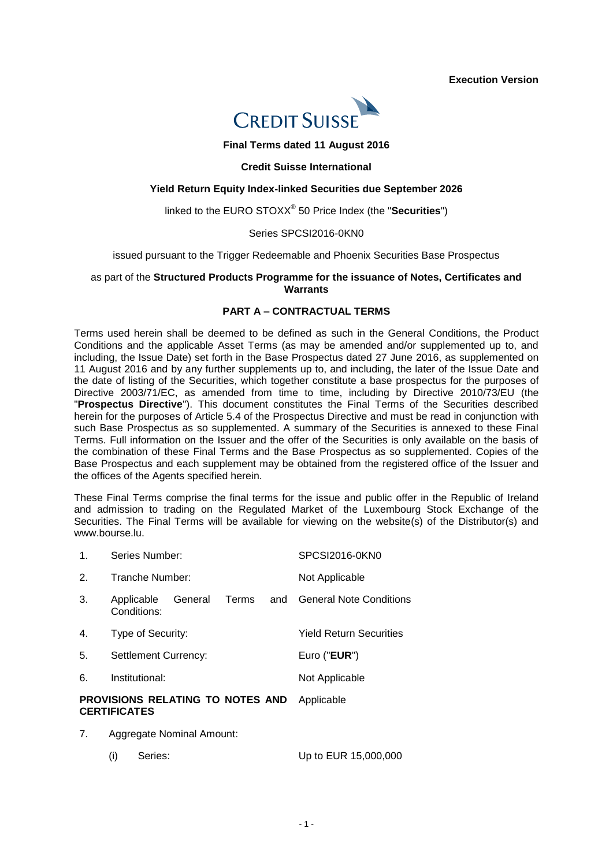**Execution Version**



#### **Final Terms dated 11 August 2016**

#### **Credit Suisse International**

#### **Yield Return Equity Index-linked Securities due September 2026**

linked to the EURO STOXX® 50 Price Index (the "**Securities**")

#### Series SPCSI2016-0KN0

issued pursuant to the Trigger Redeemable and Phoenix Securities Base Prospectus

#### as part of the **Structured Products Programme for the issuance of Notes, Certificates and Warrants**

## **PART A – CONTRACTUAL TERMS**

Terms used herein shall be deemed to be defined as such in the General Conditions, the Product Conditions and the applicable Asset Terms (as may be amended and/or supplemented up to, and including, the Issue Date) set forth in the Base Prospectus dated 27 June 2016, as supplemented on 11 August 2016 and by any further supplements up to, and including, the later of the Issue Date and the date of listing of the Securities, which together constitute a base prospectus for the purposes of Directive 2003/71/EC, as amended from time to time, including by Directive 2010/73/EU (the "**Prospectus Directive**"). This document constitutes the Final Terms of the Securities described herein for the purposes of Article 5.4 of the Prospectus Directive and must be read in conjunction with such Base Prospectus as so supplemented. A summary of the Securities is annexed to these Final Terms. Full information on the Issuer and the offer of the Securities is only available on the basis of the combination of these Final Terms and the Base Prospectus as so supplemented. Copies of the Base Prospectus and each supplement may be obtained from the registered office of the Issuer and the offices of the Agents specified herein.

These Final Terms comprise the final terms for the issue and public offer in the Republic of Ireland and admission to trading on the Regulated Market of the Luxembourg Stock Exchange of the Securities. The Final Terms will be available for viewing on the website(s) of the Distributor(s) and www.bourse.lu.

|    | <b>CERTIFICATES</b>                           |                                |
|----|-----------------------------------------------|--------------------------------|
|    | <b>PROVISIONS RELATING TO NOTES AND</b>       | Applicable                     |
| 6. | Institutional:                                | Not Applicable                 |
| 5. | Settlement Currency:                          | Euro (" $EUR$ ")               |
| 4. | Type of Security:                             | <b>Yield Return Securities</b> |
| 3. | General<br>Terms<br>Applicable<br>Conditions: | and General Note Conditions    |
| 2. | Tranche Number:                               | Not Applicable                 |
| 1. | Series Number:                                | SPCSI2016-0KN0                 |

- 7. Aggregate Nominal Amount:
	- (i) Series: Up to EUR 15,000,000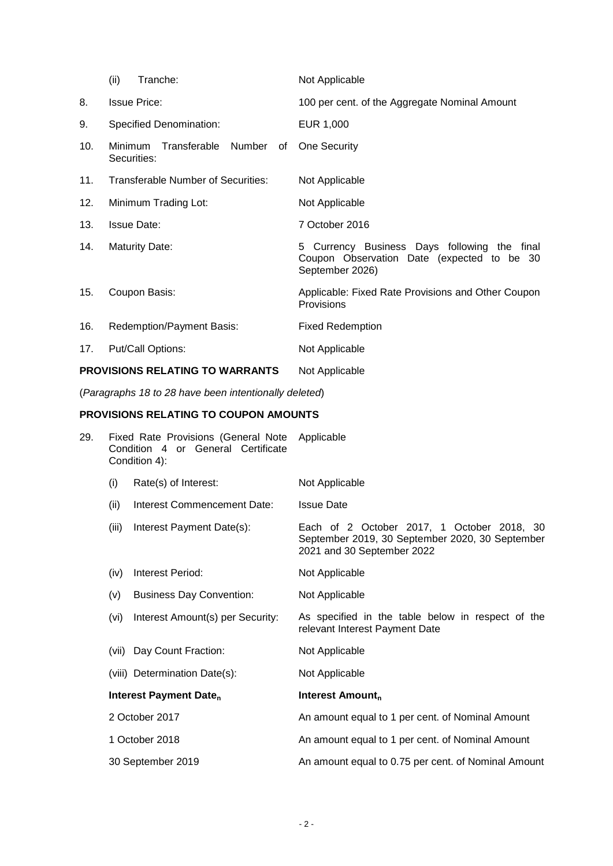|     | (ii)<br>Tranche:                                    | Not Applicable                                                                                                |
|-----|-----------------------------------------------------|---------------------------------------------------------------------------------------------------------------|
| 8.  | <b>Issue Price:</b>                                 | 100 per cent. of the Aggregate Nominal Amount                                                                 |
| 9.  | <b>Specified Denomination:</b>                      | EUR 1,000                                                                                                     |
| 10. | Transferable<br>Number of<br>Minimum<br>Securities: | One Security                                                                                                  |
| 11. | Transferable Number of Securities:                  | Not Applicable                                                                                                |
| 12. | Minimum Trading Lot:                                | Not Applicable                                                                                                |
| 13. | <b>Issue Date:</b>                                  | 7 October 2016                                                                                                |
| 14. | <b>Maturity Date:</b>                               | 5 Currency Business Days following the final<br>Coupon Observation Date (expected to be 30<br>September 2026) |
| 15. | Coupon Basis:                                       | Applicable: Fixed Rate Provisions and Other Coupon<br>Provisions                                              |
| 16. | Redemption/Payment Basis:                           | <b>Fixed Redemption</b>                                                                                       |
| 17. | Put/Call Options:                                   | Not Applicable                                                                                                |
|     | <b>PROVISIONS RELATING TO WARRANTS</b>              | Not Applicable                                                                                                |

(*Paragraphs 18 to 28 have been intentionally deleted*)

# **PROVISIONS RELATING TO COUPON AMOUNTS**

| 29. | Fixed Rate Provisions (General Note<br>Condition 4 or General Certificate<br>Condition 4): |                                    | Applicable                                                                                                                  |
|-----|--------------------------------------------------------------------------------------------|------------------------------------|-----------------------------------------------------------------------------------------------------------------------------|
|     | (i)                                                                                        | Rate(s) of Interest:               | Not Applicable                                                                                                              |
|     | (ii)                                                                                       | Interest Commencement Date:        | <b>Issue Date</b>                                                                                                           |
|     | (iii)                                                                                      | Interest Payment Date(s):          | Each of 2 October 2017, 1 October 2018, 30<br>September 2019, 30 September 2020, 30 September<br>2021 and 30 September 2022 |
|     | (iv)                                                                                       | Interest Period:                   | Not Applicable                                                                                                              |
|     | (v)                                                                                        | <b>Business Day Convention:</b>    | Not Applicable                                                                                                              |
|     | (vi)                                                                                       | Interest Amount(s) per Security:   | As specified in the table below in respect of the<br>relevant Interest Payment Date                                         |
|     | (vii)                                                                                      | Day Count Fraction:                | Not Applicable                                                                                                              |
|     |                                                                                            | (viii) Determination Date(s):      | Not Applicable                                                                                                              |
|     |                                                                                            | Interest Payment Date <sub>n</sub> | Interest Amount <sub>n</sub>                                                                                                |
|     |                                                                                            | 2 October 2017                     | An amount equal to 1 per cent. of Nominal Amount                                                                            |
|     |                                                                                            | 1 October 2018                     | An amount equal to 1 per cent. of Nominal Amount                                                                            |
|     |                                                                                            | 30 September 2019                  | An amount equal to 0.75 per cent. of Nominal Amount                                                                         |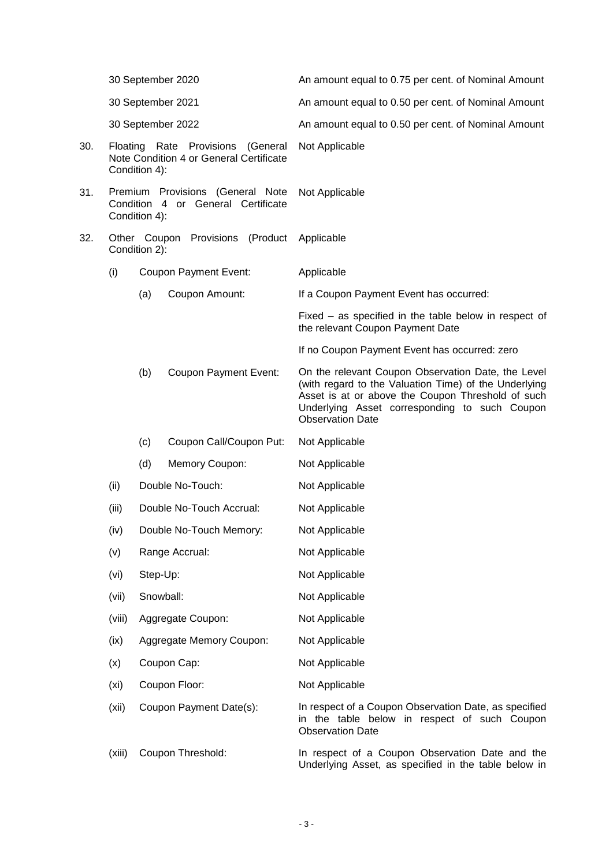|     |                                                                                               | 30 September 2020 |                                                                        | An amount equal to 0.75 per cent. of Nominal Amount                                                                                                                                                                                          |
|-----|-----------------------------------------------------------------------------------------------|-------------------|------------------------------------------------------------------------|----------------------------------------------------------------------------------------------------------------------------------------------------------------------------------------------------------------------------------------------|
|     |                                                                                               |                   | 30 September 2021                                                      | An amount equal to 0.50 per cent. of Nominal Amount                                                                                                                                                                                          |
|     |                                                                                               |                   | 30 September 2022                                                      | An amount equal to 0.50 per cent. of Nominal Amount                                                                                                                                                                                          |
| 30. | Floating Rate Provisions (General<br>Note Condition 4 or General Certificate<br>Condition 4): |                   |                                                                        | Not Applicable                                                                                                                                                                                                                               |
| 31. |                                                                                               | Condition 4):     | Premium Provisions (General Note<br>Condition 4 or General Certificate | Not Applicable                                                                                                                                                                                                                               |
| 32. |                                                                                               | Condition 2):     | Other Coupon Provisions<br>(Product                                    | Applicable                                                                                                                                                                                                                                   |
|     | (i)                                                                                           |                   | <b>Coupon Payment Event:</b>                                           | Applicable                                                                                                                                                                                                                                   |
|     |                                                                                               | (a)               | Coupon Amount:                                                         | If a Coupon Payment Event has occurred:                                                                                                                                                                                                      |
|     |                                                                                               |                   |                                                                        | Fixed – as specified in the table below in respect of<br>the relevant Coupon Payment Date                                                                                                                                                    |
|     |                                                                                               |                   |                                                                        | If no Coupon Payment Event has occurred: zero                                                                                                                                                                                                |
|     |                                                                                               | (b)               | <b>Coupon Payment Event:</b>                                           | On the relevant Coupon Observation Date, the Level<br>(with regard to the Valuation Time) of the Underlying<br>Asset is at or above the Coupon Threshold of such<br>Underlying Asset corresponding to such Coupon<br><b>Observation Date</b> |
|     |                                                                                               | (c)               | Coupon Call/Coupon Put:                                                | Not Applicable                                                                                                                                                                                                                               |
|     |                                                                                               | (d)               | Memory Coupon:                                                         | Not Applicable                                                                                                                                                                                                                               |
|     | (ii)                                                                                          |                   | Double No-Touch:                                                       | Not Applicable                                                                                                                                                                                                                               |
|     | (iii)                                                                                         |                   | Double No-Touch Accrual:                                               | Not Applicable                                                                                                                                                                                                                               |
|     | (iv)                                                                                          |                   | Double No-Touch Memory:                                                | Not Applicable                                                                                                                                                                                                                               |
|     | (v)                                                                                           |                   | Range Accrual:                                                         | Not Applicable                                                                                                                                                                                                                               |
|     | (vi)                                                                                          | Step-Up:          |                                                                        | Not Applicable                                                                                                                                                                                                                               |
|     | (vii)                                                                                         | Snowball:         |                                                                        | Not Applicable                                                                                                                                                                                                                               |
|     | (viii)                                                                                        |                   | Aggregate Coupon:                                                      | Not Applicable                                                                                                                                                                                                                               |
|     | (ix)                                                                                          |                   | Aggregate Memory Coupon:                                               | Not Applicable                                                                                                                                                                                                                               |
|     | (x)                                                                                           |                   | Coupon Cap:                                                            | Not Applicable                                                                                                                                                                                                                               |
|     | (x <sub>i</sub> )                                                                             |                   | Coupon Floor:                                                          | Not Applicable                                                                                                                                                                                                                               |
|     | (xii)                                                                                         |                   | Coupon Payment Date(s):                                                | In respect of a Coupon Observation Date, as specified<br>in the table below in respect of such Coupon<br><b>Observation Date</b>                                                                                                             |
|     | (xiii)                                                                                        |                   | Coupon Threshold:                                                      | In respect of a Coupon Observation Date and the<br>Underlying Asset, as specified in the table below in                                                                                                                                      |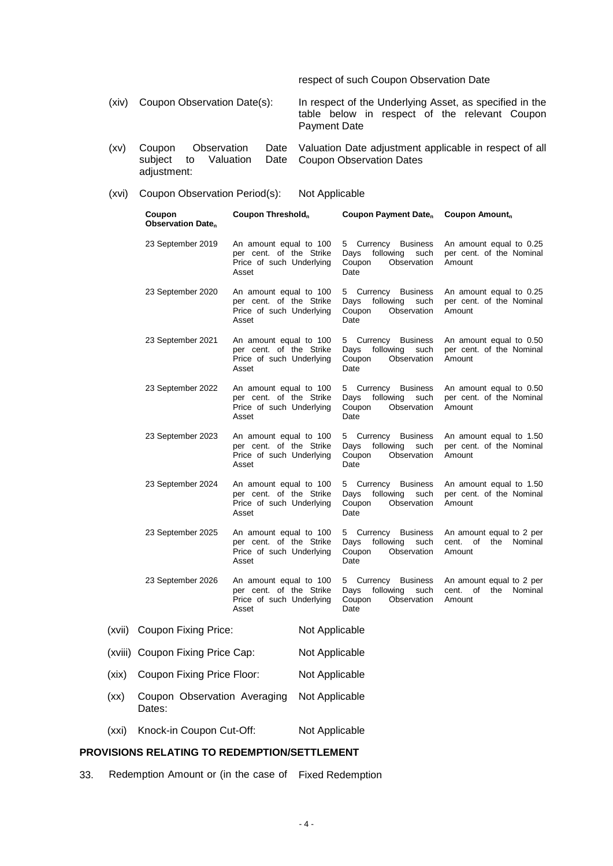respect of such Coupon Observation Date

(xiv) Coupon Observation Date(s): In respect of the Underlying Asset, as specified in the table below in respect of the relevant Coupon Payment Date

- (xv) Coupon Observation Date to Valuation Date adjustment: Valuation Date adjustment applicable in respect of all Coupon Observation Dates
- (xvi) Coupon Observation Period(s): Not Applicable

|        | Coupon<br><b>Observation Date</b> <sub>n</sub> | Coupon Threshold <sub>n</sub>                                                          | Coupon Payment Date <sub>n</sub>                                                     | Coupon Amount <sub>n</sub>                                       |
|--------|------------------------------------------------|----------------------------------------------------------------------------------------|--------------------------------------------------------------------------------------|------------------------------------------------------------------|
|        | 23 September 2019                              | An amount equal to 100<br>per cent. of the Strike<br>Price of such Underlying<br>Asset | 5<br>Currency Business<br>Days<br>following<br>such<br>Coupon<br>Observation<br>Date | An amount equal to 0.25<br>per cent. of the Nominal<br>Amount    |
|        | 23 September 2020                              | An amount equal to 100<br>per cent. of the Strike<br>Price of such Underlying<br>Asset | 5 Currency Business<br>Days<br>following<br>such<br>Coupon<br>Observation<br>Date    | An amount equal to 0.25<br>per cent. of the Nominal<br>Amount    |
|        | 23 September 2021                              | An amount equal to 100<br>per cent. of the Strike<br>Price of such Underlying<br>Asset | 5<br>Currency Business<br>Days<br>following<br>such<br>Coupon<br>Observation<br>Date | An amount equal to 0.50<br>per cent. of the Nominal<br>Amount    |
|        | 23 September 2022                              | An amount equal to 100<br>per cent. of the Strike<br>Price of such Underlying<br>Asset | 5<br>Currency Business<br>following<br>Days<br>such<br>Coupon<br>Observation<br>Date | An amount equal to 0.50<br>per cent. of the Nominal<br>Amount    |
|        | 23 September 2023                              | An amount equal to 100<br>per cent. of the Strike<br>Price of such Underlying<br>Asset | 5 Currency Business<br>following<br>such<br>Days<br>Coupon<br>Observation<br>Date    | An amount equal to 1.50<br>per cent. of the Nominal<br>Amount    |
|        | 23 September 2024                              | An amount equal to 100<br>per cent. of the Strike<br>Price of such Underlying<br>Asset | Currency Business<br>5<br>following<br>Days<br>such<br>Coupon<br>Observation<br>Date | An amount equal to 1.50<br>per cent. of the Nominal<br>Amount    |
|        | 23 September 2025                              | An amount equal to 100<br>per cent. of the Strike<br>Price of such Underlying<br>Asset | 5<br>Currency Business<br>following<br>Days<br>such<br>Coupon<br>Observation<br>Date | An amount equal to 2 per<br>cent. of the Nominal<br>Amount       |
|        | 23 September 2026                              | An amount equal to 100<br>per cent. of the Strike<br>Price of such Underlying<br>Asset | 5 Currency Business<br>following<br>such<br>Days<br>Coupon<br>Observation<br>Date    | An amount equal to 2 per<br>of the<br>Nominal<br>cent.<br>Amount |
| (xvii) | <b>Coupon Fixing Price:</b>                    | Not Applicable                                                                         |                                                                                      |                                                                  |
|        | (xviii) Coupon Fixing Price Cap:               | Not Applicable                                                                         |                                                                                      |                                                                  |
| (xix)  | Coupon Fixing Price Floor:                     | Not Applicable                                                                         |                                                                                      |                                                                  |
| (xx)   | Coupon Observation Averaging<br>Dates:         | Not Applicable                                                                         |                                                                                      |                                                                  |
| (xxi)  | Knock-in Coupon Cut-Off:                       | Not Applicable                                                                         |                                                                                      |                                                                  |

# **PROVISIONS RELATING TO REDEMPTION/SETTLEMENT**

33. Redemption Amount or (in the case of Fixed Redemption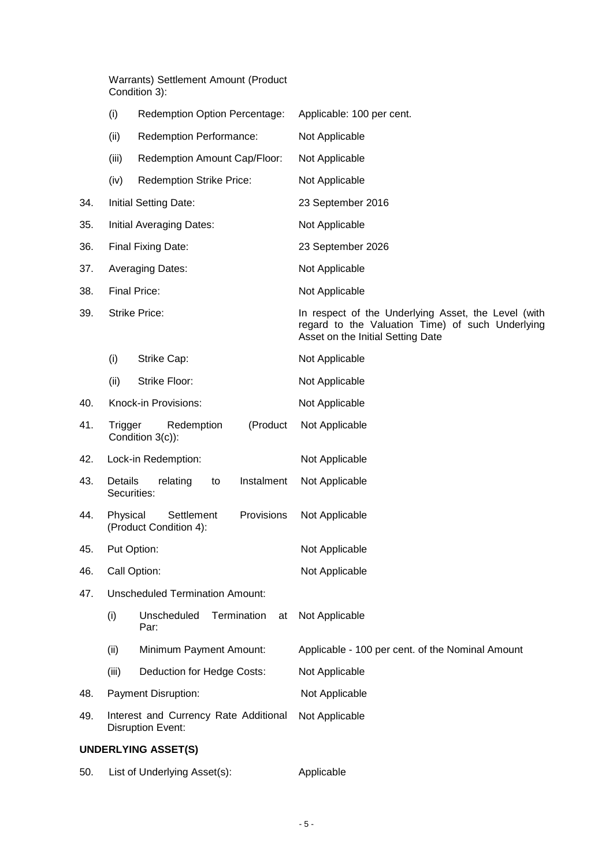Warrants) Settlement Amount (Product Condition 3):

|     | (i)                    | Redemption Option Percentage:                                     | Applicable: 100 per cent.                                                                                                                    |
|-----|------------------------|-------------------------------------------------------------------|----------------------------------------------------------------------------------------------------------------------------------------------|
|     | (ii)                   | <b>Redemption Performance:</b>                                    | Not Applicable                                                                                                                               |
|     | (iii)                  | Redemption Amount Cap/Floor:                                      | Not Applicable                                                                                                                               |
|     | (iv)                   | <b>Redemption Strike Price:</b>                                   | Not Applicable                                                                                                                               |
| 34. |                        | <b>Initial Setting Date:</b>                                      | 23 September 2016                                                                                                                            |
| 35. |                        | Initial Averaging Dates:                                          | Not Applicable                                                                                                                               |
| 36. |                        | Final Fixing Date:                                                | 23 September 2026                                                                                                                            |
| 37. |                        | <b>Averaging Dates:</b>                                           | Not Applicable                                                                                                                               |
| 38. |                        | Final Price:                                                      | Not Applicable                                                                                                                               |
| 39. |                        | <b>Strike Price:</b>                                              | In respect of the Underlying Asset, the Level (with<br>regard to the Valuation Time) of such Underlying<br>Asset on the Initial Setting Date |
|     | (i)                    | Strike Cap:                                                       | Not Applicable                                                                                                                               |
|     | (ii)                   | Strike Floor:                                                     | Not Applicable                                                                                                                               |
| 40. |                        | Knock-in Provisions:                                              | Not Applicable                                                                                                                               |
| 41. | Trigger                | Redemption<br>(Product<br>Condition 3(c)):                        | Not Applicable                                                                                                                               |
| 42. |                        | Lock-in Redemption:                                               | Not Applicable                                                                                                                               |
| 43. | Details<br>Securities: | relating<br>Instalment<br>to                                      | Not Applicable                                                                                                                               |
| 44. | Physical               | Settlement<br>Provisions<br>(Product Condition 4):                | Not Applicable                                                                                                                               |
| 45. |                        | Put Option:                                                       | Not Applicable                                                                                                                               |
| 46. |                        | Call Option:                                                      | Not Applicable                                                                                                                               |
| 47. |                        | <b>Unscheduled Termination Amount:</b>                            |                                                                                                                                              |
|     | (i)                    | Termination<br>Unscheduled<br>at<br>Par:                          | Not Applicable                                                                                                                               |
|     | (ii)                   | Minimum Payment Amount:                                           | Applicable - 100 per cent. of the Nominal Amount                                                                                             |
|     | (iii)                  | Deduction for Hedge Costs:                                        | Not Applicable                                                                                                                               |
| 48. |                        | Payment Disruption:                                               | Not Applicable                                                                                                                               |
| 49. |                        | Interest and Currency Rate Additional<br><b>Disruption Event:</b> | Not Applicable                                                                                                                               |
|     |                        | <b>UNDERLYING ASSET(S)</b>                                        |                                                                                                                                              |

50. List of Underlying Asset(s): Applicable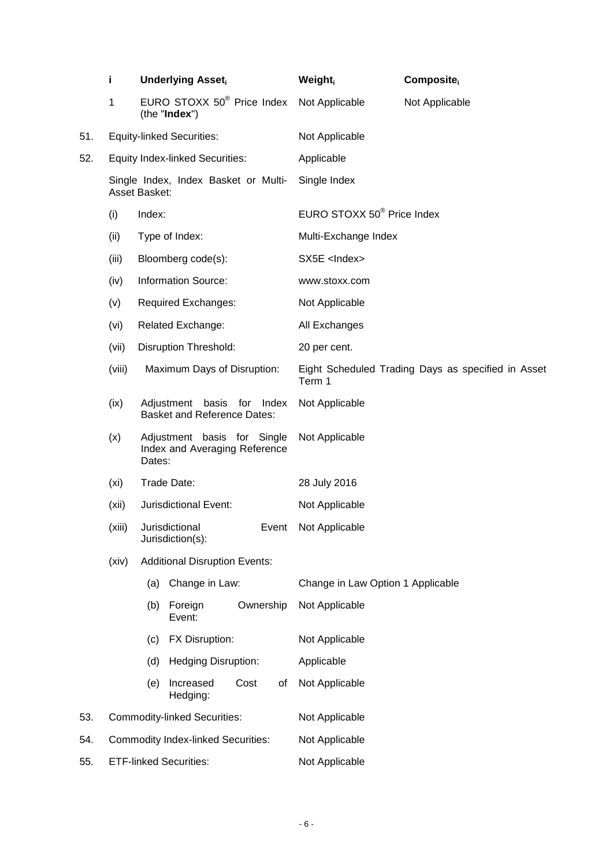|     | i.                                                    | <b>Underlying Asset</b>                                                |                                                         | Weight     | Composite                              |                                                    |  |
|-----|-------------------------------------------------------|------------------------------------------------------------------------|---------------------------------------------------------|------------|----------------------------------------|----------------------------------------------------|--|
|     | 1                                                     |                                                                        | EURO STOXX 50 <sup>®</sup> Price Index<br>(the "Index") |            | Not Applicable                         | Not Applicable                                     |  |
| 51. |                                                       | <b>Equity-linked Securities:</b>                                       |                                                         |            | Not Applicable                         |                                                    |  |
| 52. |                                                       | <b>Equity Index-linked Securities:</b>                                 |                                                         |            | Applicable                             |                                                    |  |
|     | Single Index, Index Basket or Multi-<br>Asset Basket: |                                                                        |                                                         |            | Single Index                           |                                                    |  |
|     | (i)                                                   | Index:                                                                 |                                                         |            | EURO STOXX 50 <sup>®</sup> Price Index |                                                    |  |
|     | (ii)                                                  |                                                                        | Type of Index:                                          |            | Multi-Exchange Index                   |                                                    |  |
|     | (iii)                                                 |                                                                        | Bloomberg code(s):                                      |            | SX5E <lndex></lndex>                   |                                                    |  |
|     | (iv)                                                  |                                                                        | <b>Information Source:</b>                              |            | www.stoxx.com                          |                                                    |  |
|     | (v)                                                   | Required Exchanges:                                                    |                                                         |            | Not Applicable                         |                                                    |  |
|     | (vi)                                                  | <b>Related Exchange:</b>                                               |                                                         |            | All Exchanges                          |                                                    |  |
|     | (vii)                                                 | <b>Disruption Threshold:</b>                                           |                                                         |            | 20 per cent.                           |                                                    |  |
|     | (viii)                                                | Maximum Days of Disruption:                                            |                                                         |            | Term 1                                 | Eight Scheduled Trading Days as specified in Asset |  |
|     | (ix)                                                  | Adjustment basis for Index<br><b>Basket and Reference Dates:</b>       |                                                         |            | Not Applicable                         |                                                    |  |
|     | (x)                                                   | Adjustment basis for Single<br>Index and Averaging Reference<br>Dates: |                                                         |            | Not Applicable                         |                                                    |  |
|     | (xi)                                                  | Trade Date:                                                            |                                                         |            | 28 July 2016                           |                                                    |  |
|     | (xii)                                                 |                                                                        | Jurisdictional Event:                                   |            | Not Applicable                         |                                                    |  |
|     | (xiii)                                                |                                                                        | Jurisdictional<br>Jurisdiction(s):                      | Event      | Not Applicable                         |                                                    |  |
|     | (xiv)                                                 | <b>Additional Disruption Events:</b>                                   |                                                         |            |                                        |                                                    |  |
|     |                                                       | (a)                                                                    | Change in Law:                                          |            | Change in Law Option 1 Applicable      |                                                    |  |
|     |                                                       | (b)                                                                    | Foreign<br>Event:                                       | Ownership  | Not Applicable                         |                                                    |  |
|     |                                                       | (c)                                                                    | FX Disruption:                                          |            | Not Applicable                         |                                                    |  |
|     |                                                       | (d)                                                                    | <b>Hedging Disruption:</b>                              |            | Applicable                             |                                                    |  |
|     |                                                       | (e)                                                                    | Increased<br>Hedging:                                   | Cost<br>οf | Not Applicable                         |                                                    |  |
| 53. |                                                       |                                                                        | <b>Commodity-linked Securities:</b>                     |            | Not Applicable                         |                                                    |  |
| 54. |                                                       |                                                                        | <b>Commodity Index-linked Securities:</b>               |            | Not Applicable                         |                                                    |  |
| 55. | <b>ETF-linked Securities:</b>                         |                                                                        |                                                         |            | Not Applicable                         |                                                    |  |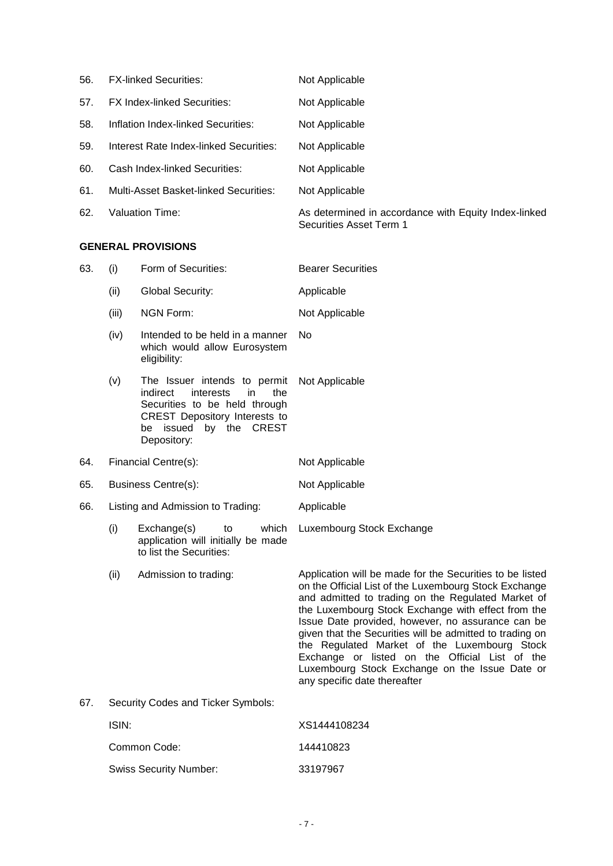| 56. | <b>FX-linked Securities:</b>           | Not Applicable                                                                  |
|-----|----------------------------------------|---------------------------------------------------------------------------------|
| 57. | <b>FX Index-linked Securities:</b>     | Not Applicable                                                                  |
| 58. | Inflation Index-linked Securities:     | Not Applicable                                                                  |
| 59. | Interest Rate Index-linked Securities: | Not Applicable                                                                  |
| 60. | Cash Index-linked Securities:          | Not Applicable                                                                  |
| 61. | Multi-Asset Basket-linked Securities:  | Not Applicable                                                                  |
| 62. | Valuation Time:                        | As determined in accordance with Equity Index-linked<br>Securities Asset Term 1 |

### **GENERAL PROVISIONS**

| 63. | (i)                                                                                                | Form of Securities:                                                                                                                                                            | <b>Bearer Securities</b>                                                                                                                                                                                                                                                                                                                                                                                                                                                                                                           |
|-----|----------------------------------------------------------------------------------------------------|--------------------------------------------------------------------------------------------------------------------------------------------------------------------------------|------------------------------------------------------------------------------------------------------------------------------------------------------------------------------------------------------------------------------------------------------------------------------------------------------------------------------------------------------------------------------------------------------------------------------------------------------------------------------------------------------------------------------------|
|     | (ii)                                                                                               | Global Security:                                                                                                                                                               | Applicable                                                                                                                                                                                                                                                                                                                                                                                                                                                                                                                         |
|     | (iii)                                                                                              | <b>NGN Form:</b>                                                                                                                                                               | Not Applicable                                                                                                                                                                                                                                                                                                                                                                                                                                                                                                                     |
|     | (iv)                                                                                               | Intended to be held in a manner<br>which would allow Eurosystem<br>eligibility:                                                                                                | No                                                                                                                                                                                                                                                                                                                                                                                                                                                                                                                                 |
|     | (v)                                                                                                | The Issuer intends to permit<br>indirect<br>interests<br>the<br>in.<br>Securities to be held through<br>CREST Depository Interests to<br>be issued by the CREST<br>Depository: | Not Applicable                                                                                                                                                                                                                                                                                                                                                                                                                                                                                                                     |
| 64. | Financial Centre(s):                                                                               |                                                                                                                                                                                | Not Applicable                                                                                                                                                                                                                                                                                                                                                                                                                                                                                                                     |
| 65. | <b>Business Centre(s):</b>                                                                         |                                                                                                                                                                                | Not Applicable                                                                                                                                                                                                                                                                                                                                                                                                                                                                                                                     |
| 66. |                                                                                                    | Listing and Admission to Trading:                                                                                                                                              | Applicable                                                                                                                                                                                                                                                                                                                                                                                                                                                                                                                         |
|     | (i)<br>Exchange(s)<br>which<br>to<br>application will initially be made<br>to list the Securities: |                                                                                                                                                                                | Luxembourg Stock Exchange                                                                                                                                                                                                                                                                                                                                                                                                                                                                                                          |
|     | (ii)                                                                                               | Admission to trading:                                                                                                                                                          | Application will be made for the Securities to be listed<br>on the Official List of the Luxembourg Stock Exchange<br>and admitted to trading on the Regulated Market of<br>the Luxembourg Stock Exchange with effect from the<br>Issue Date provided, however, no assurance can be<br>given that the Securities will be admitted to trading on<br>the Regulated Market of the Luxembourg Stock<br>Exchange or listed on the Official List of the<br>Luxembourg Stock Exchange on the Issue Date or<br>any specific date thereafter |
| 67. |                                                                                                    | Security Codes and Ticker Symbols:                                                                                                                                             |                                                                                                                                                                                                                                                                                                                                                                                                                                                                                                                                    |
|     | ISIN:                                                                                              |                                                                                                                                                                                | XS1444108234                                                                                                                                                                                                                                                                                                                                                                                                                                                                                                                       |
|     |                                                                                                    |                                                                                                                                                                                |                                                                                                                                                                                                                                                                                                                                                                                                                                                                                                                                    |

| Common Code:                  | 144410823 |
|-------------------------------|-----------|
| <b>Swiss Security Number:</b> | 33197967  |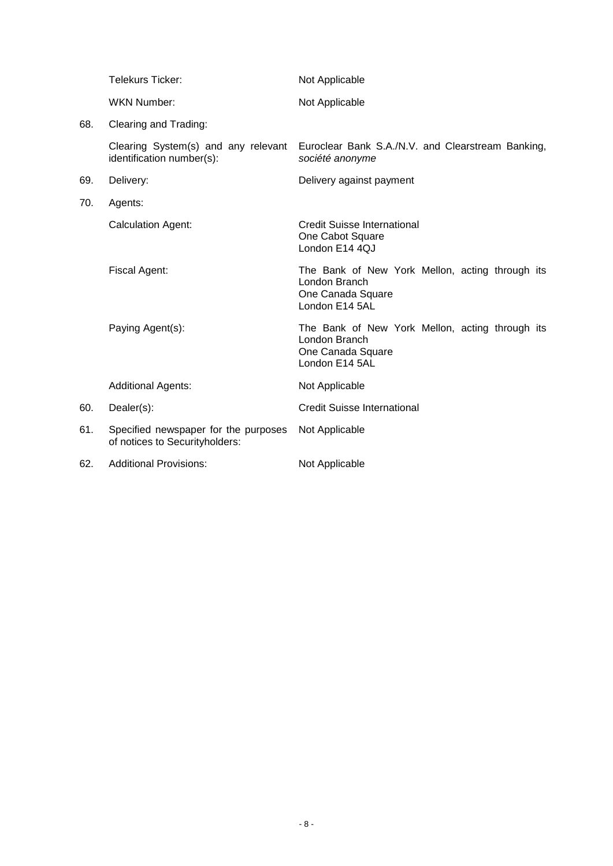|     | Telekurs Ticker:                                                       | Not Applicable                                                                                          |
|-----|------------------------------------------------------------------------|---------------------------------------------------------------------------------------------------------|
|     | <b>WKN Number:</b>                                                     | Not Applicable                                                                                          |
| 68. | Clearing and Trading:                                                  |                                                                                                         |
|     | Clearing System(s) and any relevant<br>identification number(s):       | Euroclear Bank S.A./N.V. and Clearstream Banking,<br>société anonyme                                    |
| 69. | Delivery:                                                              | Delivery against payment                                                                                |
| 70. | Agents:                                                                |                                                                                                         |
|     | <b>Calculation Agent:</b>                                              | Credit Suisse International<br>One Cabot Square<br>London E14 4QJ                                       |
|     | Fiscal Agent:                                                          | The Bank of New York Mellon, acting through its<br>London Branch<br>One Canada Square<br>London E14 5AL |
|     | Paying Agent(s):                                                       | The Bank of New York Mellon, acting through its<br>London Branch<br>One Canada Square<br>London E14 5AL |
|     | <b>Additional Agents:</b>                                              | Not Applicable                                                                                          |
| 60. | Dealer(s):                                                             | <b>Credit Suisse International</b>                                                                      |
| 61. | Specified newspaper for the purposes<br>of notices to Securityholders: | Not Applicable                                                                                          |
| 62. | <b>Additional Provisions:</b>                                          | Not Applicable                                                                                          |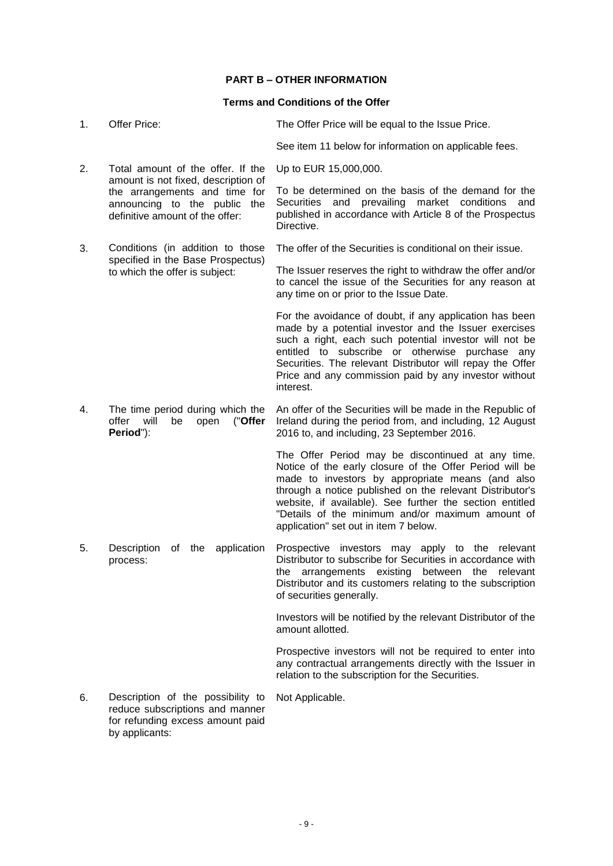# **PART B – OTHER INFORMATION**

# **Terms and Conditions of the Offer**

| 1. | Offer Price:                                                                                                                            | The Offer Price will be equal to the Issue Price.                                                                                                                                                                                                                                                                                                                                     |
|----|-----------------------------------------------------------------------------------------------------------------------------------------|---------------------------------------------------------------------------------------------------------------------------------------------------------------------------------------------------------------------------------------------------------------------------------------------------------------------------------------------------------------------------------------|
|    |                                                                                                                                         | See item 11 below for information on applicable fees.                                                                                                                                                                                                                                                                                                                                 |
| 2. | Total amount of the offer. If the                                                                                                       | Up to EUR 15,000,000.                                                                                                                                                                                                                                                                                                                                                                 |
|    | amount is not fixed, description of<br>the arrangements and time for<br>announcing to the public the<br>definitive amount of the offer: | To be determined on the basis of the demand for the<br>Securities and prevailing market conditions<br>and<br>published in accordance with Article 8 of the Prospectus<br>Directive.                                                                                                                                                                                                   |
| 3. | Conditions (in addition to those                                                                                                        | The offer of the Securities is conditional on their issue.                                                                                                                                                                                                                                                                                                                            |
|    | specified in the Base Prospectus)<br>to which the offer is subject:                                                                     | The Issuer reserves the right to withdraw the offer and/or<br>to cancel the issue of the Securities for any reason at<br>any time on or prior to the Issue Date.                                                                                                                                                                                                                      |
|    |                                                                                                                                         | For the avoidance of doubt, if any application has been<br>made by a potential investor and the Issuer exercises<br>such a right, each such potential investor will not be<br>entitled to subscribe or otherwise purchase any<br>Securities. The relevant Distributor will repay the Offer<br>Price and any commission paid by any investor without<br>interest.                      |
| 4. | The time period during which the<br>offer<br>("Offer<br>will<br>be<br>open<br>Period"):                                                 | An offer of the Securities will be made in the Republic of<br>Ireland during the period from, and including, 12 August<br>2016 to, and including, 23 September 2016.                                                                                                                                                                                                                  |
|    |                                                                                                                                         | The Offer Period may be discontinued at any time.<br>Notice of the early closure of the Offer Period will be<br>made to investors by appropriate means (and also<br>through a notice published on the relevant Distributor's<br>website, if available). See further the section entitled<br>"Details of the minimum and/or maximum amount of<br>application" set out in item 7 below. |
| 5. | the<br>application<br>Description<br>of<br>process:                                                                                     | Prospective investors may apply to the relevant<br>Distributor to subscribe for Securities in accordance with<br>the arrangements existing between the relevant<br>Distributor and its customers relating to the subscription<br>of securities generally.                                                                                                                             |
|    |                                                                                                                                         | Investors will be notified by the relevant Distributor of the<br>amount allotted.                                                                                                                                                                                                                                                                                                     |
|    |                                                                                                                                         | Prospective investors will not be required to enter into<br>any contractual arrangements directly with the Issuer in<br>relation to the subscription for the Securities.                                                                                                                                                                                                              |
| 6. | Description of the possibility to                                                                                                       | Not Applicable.                                                                                                                                                                                                                                                                                                                                                                       |

6. Description of the possibility to reduce subscriptions and manner for refunding excess amount paid by applicants: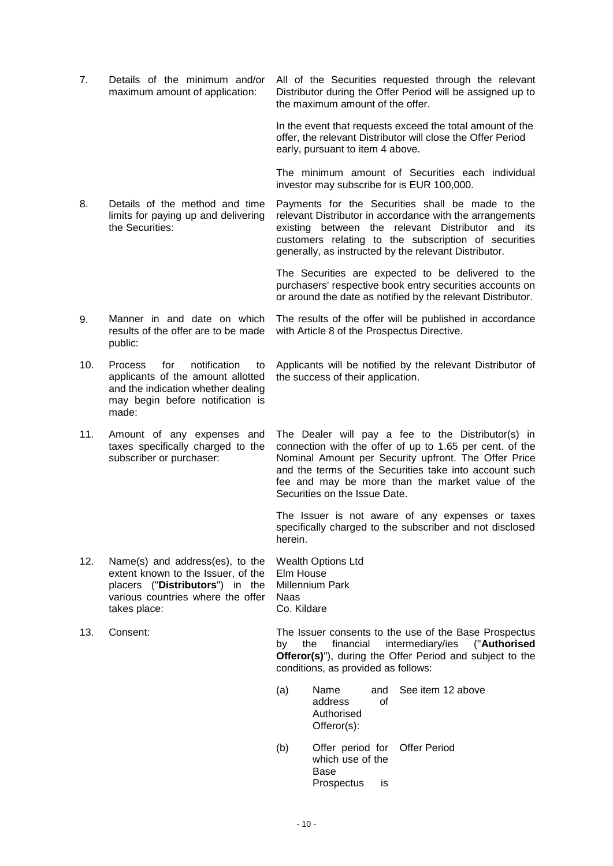7. Details of the minimum and/or maximum amount of application: All of the Securities requested through the relevant Distributor during the Offer Period will be assigned up to the maximum amount of the offer.

> In the event that requests exceed the total amount of the offer, the relevant Distributor will close the Offer Period early, pursuant to item 4 above.

> The minimum amount of Securities each individual investor may subscribe for is EUR 100,000.

8. Details of the method and time limits for paying up and delivering the Securities: Payments for the Securities shall be made to the relevant Distributor in accordance with the arrangements existing between the relevant Distributor and its customers relating to the subscription of securities generally, as instructed by the relevant Distributor.

> The Securities are expected to be delivered to the purchasers' respective book entry securities accounts on or around the date as notified by the relevant Distributor.

9. Manner in and date on which results of the offer are to be made public: The results of the offer will be published in accordance with Article 8 of the Prospectus Directive.

10. Process for notification to applicants of the amount allotted and the indication whether dealing may begin before notification is made:

11. Amount of any expenses and taxes specifically charged to the subscriber or purchaser:

The Dealer will pay a fee to the Distributor(s) in connection with the offer of up to 1.65 per cent. of the

Applicants will be notified by the relevant Distributor of

the success of their application.

Nominal Amount per Security upfront. The Offer Price and the terms of the Securities take into account such fee and may be more than the market value of the Securities on the Issue Date.

The Issuer is not aware of any expenses or taxes specifically charged to the subscriber and not disclosed herein.

12. Name(s) and address(es), to the extent known to the Issuer, of the placers ("**Distributors**") in the various countries where the offer takes place: Wealth Options Ltd Naas Co. Kildare

13. Consent: The Issuer consents to the use of the Base Prospectus by the financial intermediary/ies ("**Authorised Offeror(s)**"), during the Offer Period and subject to the conditions, as provided as follows:

- (a) Name and address of Authorised Offeror(s): See item 12 above
- (b) Offer period for Offer Periodwhich use of the Base Prospectus is

Elm House Millennium Park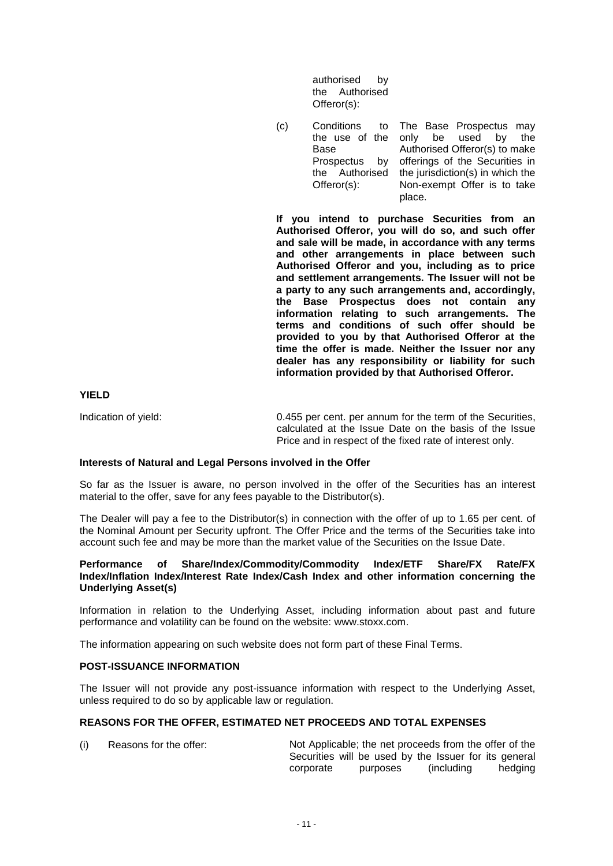authorised by the Authorised Offeror(s):

(c) Conditions the use of the Base Prospectus by the Authorised Offeror(s): to The Base Prospectus may only be used by the Authorised Offeror(s) to make offerings of the Securities in the jurisdiction(s) in which the Non-exempt Offer is to take place.

**If you intend to purchase Securities from an Authorised Offeror, you will do so, and such offer and sale will be made, in accordance with any terms and other arrangements in place between such Authorised Offeror and you, including as to price and settlement arrangements. The Issuer will not be a party to any such arrangements and, accordingly, the Base Prospectus does not contain any information relating to such arrangements. The terms and conditions of such offer should be provided to you by that Authorised Offeror at the time the offer is made. Neither the Issuer nor any dealer has any responsibility or liability for such information provided by that Authorised Offeror.**

#### **YIELD**

Indication of yield: 0.455 per cent. per annum for the term of the Securities, calculated at the Issue Date on the basis of the Issue Price and in respect of the fixed rate of interest only.

#### **Interests of Natural and Legal Persons involved in the Offer**

So far as the Issuer is aware, no person involved in the offer of the Securities has an interest material to the offer, save for any fees payable to the Distributor(s).

The Dealer will pay a fee to the Distributor(s) in connection with the offer of up to 1.65 per cent. of the Nominal Amount per Security upfront. The Offer Price and the terms of the Securities take into account such fee and may be more than the market value of the Securities on the Issue Date.

#### **Performance of Share/Index/Commodity/Commodity Index/ETF Share/FX Rate/FX Index/Inflation Index/Interest Rate Index/Cash Index and other information concerning the Underlying Asset(s)**

Information in relation to the Underlying Asset, including information about past and future performance and volatility can be found on the website: www.stoxx.com.

The information appearing on such website does not form part of these Final Terms.

#### **POST-ISSUANCE INFORMATION**

The Issuer will not provide any post-issuance information with respect to the Underlying Asset, unless required to do so by applicable law or regulation.

## **REASONS FOR THE OFFER, ESTIMATED NET PROCEEDS AND TOTAL EXPENSES**

(i) Reasons for the offer: Not Applicable; the net proceeds from the offer of the Securities will be used by the Issuer for its general corporate purposes (including hedging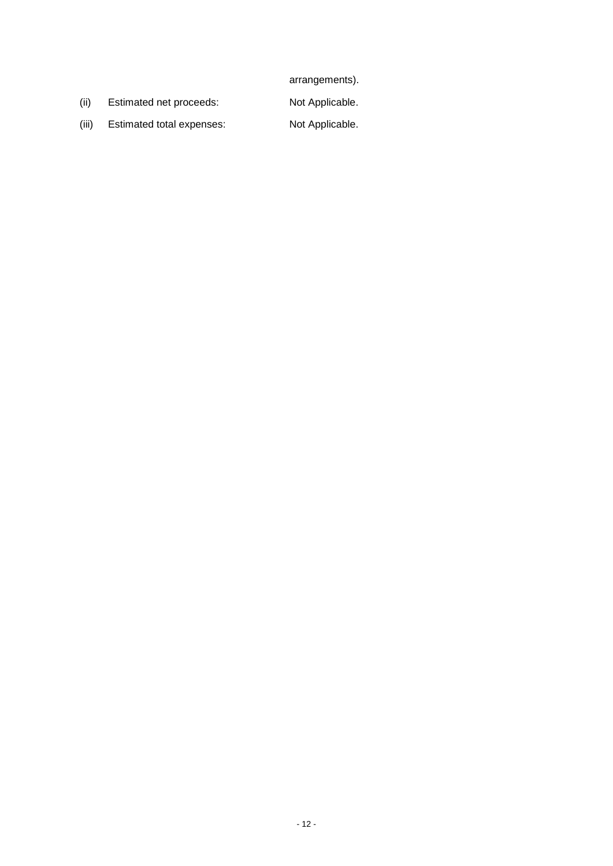arrangements).

(ii) Estimated net proceeds: Not Applicable.

- 12 -

(iii) Estimated total expenses: Not Applicable.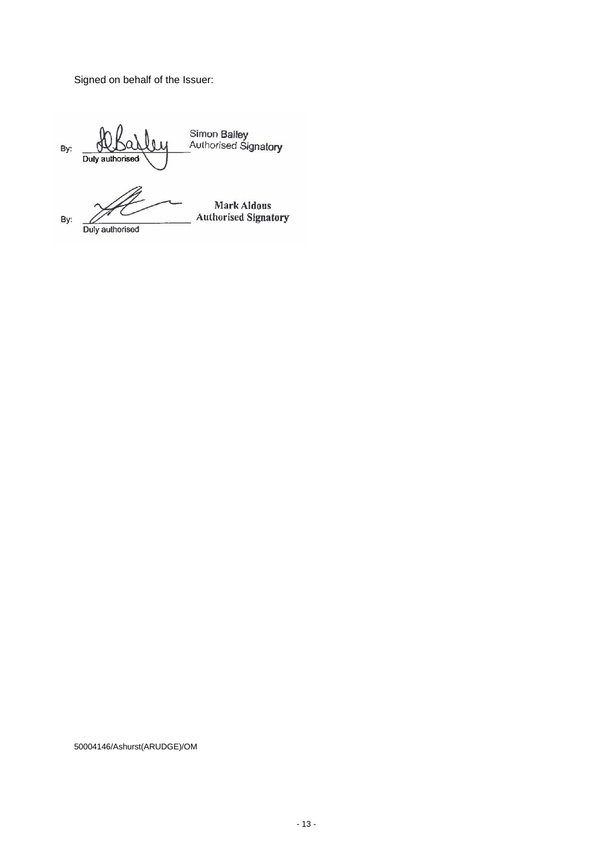Signed on behalf of the Issuer:

Simon Bailey<br>Authorised Signatory By: Duly authorised Duly authorised  $\mathscr{B}$  $\overline{\ }$ By: Duly authorised

50004146/Ashurst(ARUDGE)/OM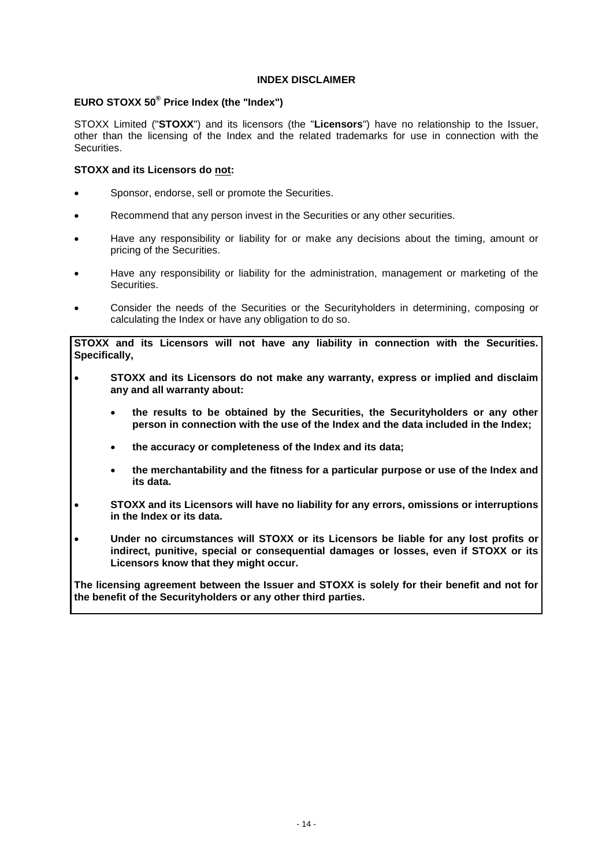## **INDEX DISCLAIMER**

# **EURO STOXX 50® Price Index (the "Index")**

STOXX Limited ("**STOXX**") and its licensors (the "**Licensors**") have no relationship to the Issuer, other than the licensing of the Index and the related trademarks for use in connection with the Securities.

## **STOXX and its Licensors do not:**

- Sponsor, endorse, sell or promote the Securities.
- Recommend that any person invest in the Securities or any other securities.
- Have any responsibility or liability for or make any decisions about the timing, amount or pricing of the Securities.
- Have any responsibility or liability for the administration, management or marketing of the Securities.
- Consider the needs of the Securities or the Securityholders in determining, composing or calculating the Index or have any obligation to do so.

**STOXX and its Licensors will not have any liability in connection with the Securities. Specifically,** 

- **STOXX and its Licensors do not make any warranty, express or implied and disclaim any and all warranty about:**
	- **the results to be obtained by the Securities, the Securityholders or any other person in connection with the use of the Index and the data included in the Index;**
	- **the accuracy or completeness of the Index and its data;**
	- **the merchantability and the fitness for a particular purpose or use of the Index and its data.**
- **STOXX and its Licensors will have no liability for any errors, omissions or interruptions in the Index or its data.**
- **Under no circumstances will STOXX or its Licensors be liable for any lost profits or indirect, punitive, special or consequential damages or losses, even if STOXX or its Licensors know that they might occur.**

**The licensing agreement between the Issuer and STOXX is solely for their benefit and not for the benefit of the Securityholders or any other third parties.**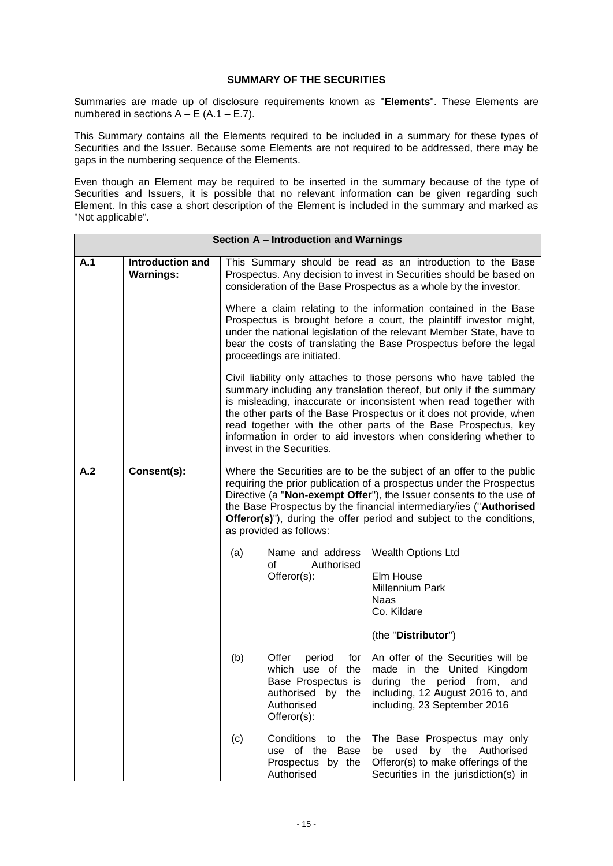# **SUMMARY OF THE SECURITIES**

Summaries are made up of disclosure requirements known as "**Elements**". These Elements are numbered in sections  $A - E$  (A.1 – E.7).

This Summary contains all the Elements required to be included in a summary for these types of Securities and the Issuer. Because some Elements are not required to be addressed, there may be gaps in the numbering sequence of the Elements.

Even though an Element may be required to be inserted in the summary because of the type of Securities and Issuers, it is possible that no relevant information can be given regarding such Element. In this case a short description of the Element is included in the summary and marked as "Not applicable".

|     |                                             |                                                                                                                                                                                                                                                                                                                                                                                                      | Section A - Introduction and Warnings                                                                                                                                                                                                                                                                              |                                                                                                                                                                                                                                                                                                                                                                                                                             |  |  |  |
|-----|---------------------------------------------|------------------------------------------------------------------------------------------------------------------------------------------------------------------------------------------------------------------------------------------------------------------------------------------------------------------------------------------------------------------------------------------------------|--------------------------------------------------------------------------------------------------------------------------------------------------------------------------------------------------------------------------------------------------------------------------------------------------------------------|-----------------------------------------------------------------------------------------------------------------------------------------------------------------------------------------------------------------------------------------------------------------------------------------------------------------------------------------------------------------------------------------------------------------------------|--|--|--|
| A.1 | <b>Introduction and</b><br><b>Warnings:</b> |                                                                                                                                                                                                                                                                                                                                                                                                      |                                                                                                                                                                                                                                                                                                                    | This Summary should be read as an introduction to the Base<br>Prospectus. Any decision to invest in Securities should be based on<br>consideration of the Base Prospectus as a whole by the investor.                                                                                                                                                                                                                       |  |  |  |
|     |                                             |                                                                                                                                                                                                                                                                                                                                                                                                      | Where a claim relating to the information contained in the Base<br>Prospectus is brought before a court, the plaintiff investor might,<br>under the national legislation of the relevant Member State, have to<br>bear the costs of translating the Base Prospectus before the legal<br>proceedings are initiated. |                                                                                                                                                                                                                                                                                                                                                                                                                             |  |  |  |
|     |                                             |                                                                                                                                                                                                                                                                                                                                                                                                      | invest in the Securities.                                                                                                                                                                                                                                                                                          | Civil liability only attaches to those persons who have tabled the<br>summary including any translation thereof, but only if the summary<br>is misleading, inaccurate or inconsistent when read together with<br>the other parts of the Base Prospectus or it does not provide, when<br>read together with the other parts of the Base Prospectus, key<br>information in order to aid investors when considering whether to |  |  |  |
| A.2 | Consent(s):                                 | Where the Securities are to be the subject of an offer to the public<br>requiring the prior publication of a prospectus under the Prospectus<br>Directive (a "Non-exempt Offer"), the Issuer consents to the use of<br>the Base Prospectus by the financial intermediary/ies ("Authorised<br><b>Offeror(s)</b> "), during the offer period and subject to the conditions,<br>as provided as follows: |                                                                                                                                                                                                                                                                                                                    |                                                                                                                                                                                                                                                                                                                                                                                                                             |  |  |  |
|     |                                             | (a)                                                                                                                                                                                                                                                                                                                                                                                                  | Name and address<br>οf<br>Authorised<br>Offeror(s):                                                                                                                                                                                                                                                                | <b>Wealth Options Ltd</b><br>Elm House<br><b>Millennium Park</b><br><b>Naas</b><br>Co. Kildare<br>(the "Distributor")                                                                                                                                                                                                                                                                                                       |  |  |  |
|     |                                             | (b)                                                                                                                                                                                                                                                                                                                                                                                                  | Offer<br>for<br>period<br>which use of the<br>Base Prospectus is<br>Authorised<br>Offeror(s):                                                                                                                                                                                                                      | An offer of the Securities will be<br>made in the United Kingdom<br>during the period from,<br>and<br>authorised by the including, 12 August 2016 to, and<br>including, 23 September 2016                                                                                                                                                                                                                                   |  |  |  |
|     |                                             | (c)                                                                                                                                                                                                                                                                                                                                                                                                  | Conditions to the<br>use of the Base<br>Prospectus by the<br>Authorised                                                                                                                                                                                                                                            | The Base Prospectus may only<br>used by the Authorised<br>be<br>Offeror(s) to make offerings of the<br>Securities in the jurisdiction(s) in                                                                                                                                                                                                                                                                                 |  |  |  |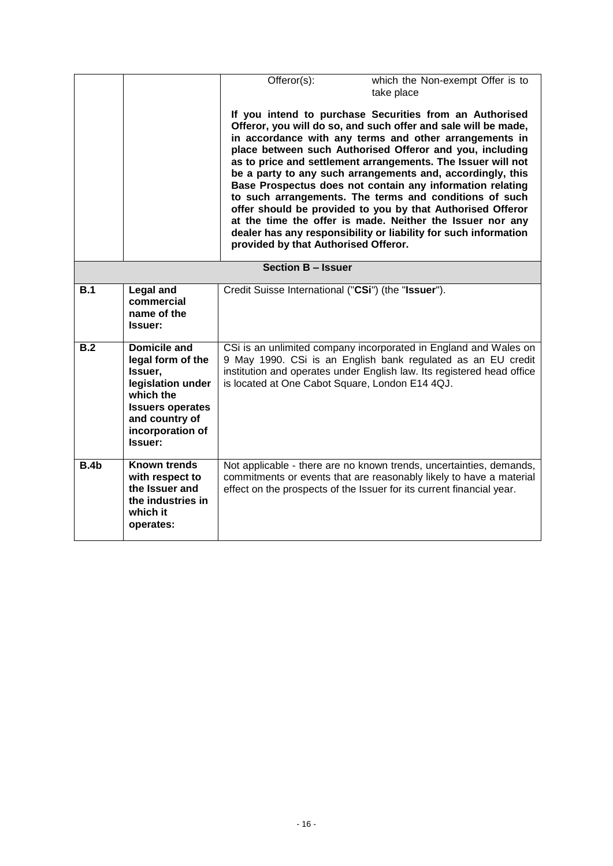|      |                                                                                                                                                            | Offeror(s):                                         | which the Non-exempt Offer is to<br>take place                                                                                                                                                                                                                                                                                                                                                                                                                                                                                                                                                                                                                                                     |
|------|------------------------------------------------------------------------------------------------------------------------------------------------------------|-----------------------------------------------------|----------------------------------------------------------------------------------------------------------------------------------------------------------------------------------------------------------------------------------------------------------------------------------------------------------------------------------------------------------------------------------------------------------------------------------------------------------------------------------------------------------------------------------------------------------------------------------------------------------------------------------------------------------------------------------------------------|
|      |                                                                                                                                                            | provided by that Authorised Offeror.                | If you intend to purchase Securities from an Authorised<br>Offeror, you will do so, and such offer and sale will be made,<br>in accordance with any terms and other arrangements in<br>place between such Authorised Offeror and you, including<br>as to price and settlement arrangements. The Issuer will not<br>be a party to any such arrangements and, accordingly, this<br>Base Prospectus does not contain any information relating<br>to such arrangements. The terms and conditions of such<br>offer should be provided to you by that Authorised Offeror<br>at the time the offer is made. Neither the Issuer nor any<br>dealer has any responsibility or liability for such information |
|      |                                                                                                                                                            | <b>Section B - Issuer</b>                           |                                                                                                                                                                                                                                                                                                                                                                                                                                                                                                                                                                                                                                                                                                    |
| B.1  | <b>Legal and</b><br>commercial<br>name of the<br>Issuer:                                                                                                   | Credit Suisse International ("CSi") (the "Issuer"). |                                                                                                                                                                                                                                                                                                                                                                                                                                                                                                                                                                                                                                                                                                    |
| B.2  | Domicile and<br>legal form of the<br>Issuer,<br>legislation under<br>which the<br><b>Issuers operates</b><br>and country of<br>incorporation of<br>Issuer: | is located at One Cabot Square, London E14 4QJ.     | CSi is an unlimited company incorporated in England and Wales on<br>9 May 1990. CSi is an English bank regulated as an EU credit<br>institution and operates under English law. Its registered head office                                                                                                                                                                                                                                                                                                                                                                                                                                                                                         |
| B.4b | <b>Known trends</b><br>with respect to<br>the Issuer and<br>the industries in<br>which it<br>operates:                                                     |                                                     | Not applicable - there are no known trends, uncertainties, demands,<br>commitments or events that are reasonably likely to have a material<br>effect on the prospects of the Issuer for its current financial year.                                                                                                                                                                                                                                                                                                                                                                                                                                                                                |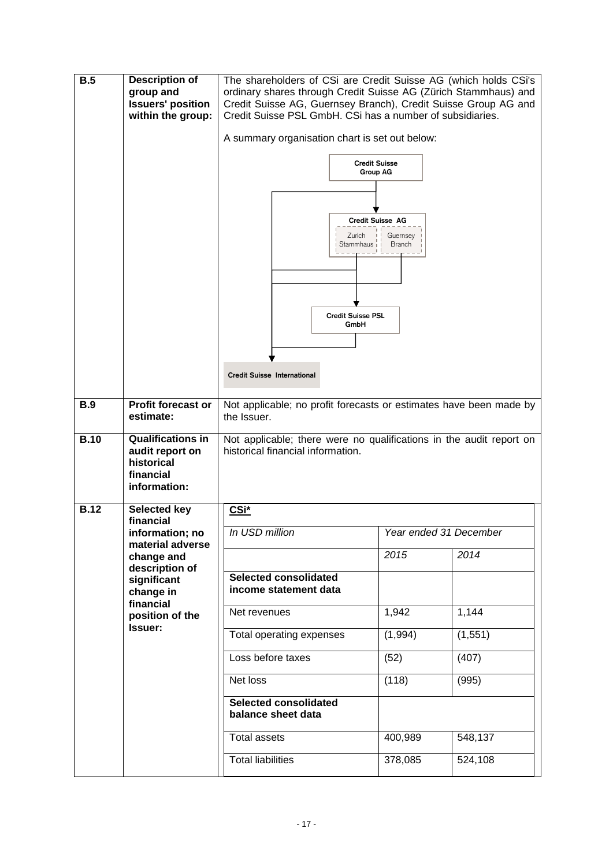| <b>B.5</b>  | <b>Description of</b><br>group and<br><b>Issuers' position</b><br>within the group:    | The shareholders of CSi are Credit Suisse AG (which holds CSi's<br>ordinary shares through Credit Suisse AG (Zürich Stammhaus) and<br>Credit Suisse AG, Guernsey Branch), Credit Suisse Group AG and<br>Credit Suisse PSL GmbH. CSi has a number of subsidiaries.<br>A summary organisation chart is set out below:<br><b>Credit Suisse</b><br><b>Group AG</b> |                        |          |  |
|-------------|----------------------------------------------------------------------------------------|----------------------------------------------------------------------------------------------------------------------------------------------------------------------------------------------------------------------------------------------------------------------------------------------------------------------------------------------------------------|------------------------|----------|--|
|             |                                                                                        | Credit Suisse AG<br>Zurich<br>Stammhaus i<br><b>Credit Suisse PSL</b><br>GmbH<br><b>Credit Suisse International</b>                                                                                                                                                                                                                                            | Guernsey<br>Branch     |          |  |
|             |                                                                                        |                                                                                                                                                                                                                                                                                                                                                                |                        |          |  |
| <b>B.9</b>  | <b>Profit forecast or</b><br>estimate:                                                 | Not applicable; no profit forecasts or estimates have been made by<br>the Issuer.                                                                                                                                                                                                                                                                              |                        |          |  |
| <b>B.10</b> | <b>Qualifications in</b><br>audit report on<br>historical<br>financial<br>information: | Not applicable; there were no qualifications in the audit report on<br>historical financial information.                                                                                                                                                                                                                                                       |                        |          |  |
| <b>B.12</b> | <b>Selected key</b><br>financial                                                       | CSi*                                                                                                                                                                                                                                                                                                                                                           |                        |          |  |
|             | information; no                                                                        | In USD million                                                                                                                                                                                                                                                                                                                                                 | Year ended 31 December |          |  |
|             | material adverse<br>change and<br>description of                                       |                                                                                                                                                                                                                                                                                                                                                                | 2015                   | 2014     |  |
|             | significant<br>change in                                                               | <b>Selected consolidated</b><br>income statement data                                                                                                                                                                                                                                                                                                          |                        |          |  |
|             | financial<br>position of the                                                           | Net revenues                                                                                                                                                                                                                                                                                                                                                   | 1,942                  | 1,144    |  |
|             | Issuer:                                                                                | Total operating expenses                                                                                                                                                                                                                                                                                                                                       | (1,994)                | (1, 551) |  |
|             |                                                                                        | Loss before taxes<br>(52)                                                                                                                                                                                                                                                                                                                                      |                        | (407)    |  |
|             |                                                                                        | Net loss                                                                                                                                                                                                                                                                                                                                                       | (118)                  | (995)    |  |
|             |                                                                                        | <b>Selected consolidated</b><br>balance sheet data                                                                                                                                                                                                                                                                                                             |                        |          |  |
|             |                                                                                        | <b>Total assets</b>                                                                                                                                                                                                                                                                                                                                            | 400,989                | 548,137  |  |
|             |                                                                                        | <b>Total liabilities</b>                                                                                                                                                                                                                                                                                                                                       | 378,085                | 524,108  |  |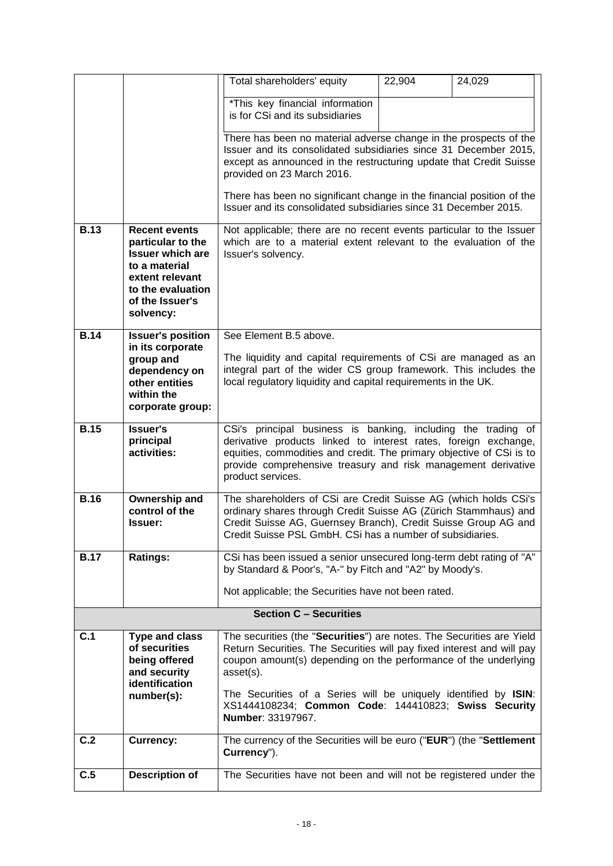|             |                                                                                                                                                               | Total shareholders' equity                                                                                                                                                                                                                                                                                                                                                      | 22,904 | 24,029 |  |
|-------------|---------------------------------------------------------------------------------------------------------------------------------------------------------------|---------------------------------------------------------------------------------------------------------------------------------------------------------------------------------------------------------------------------------------------------------------------------------------------------------------------------------------------------------------------------------|--------|--------|--|
|             |                                                                                                                                                               | *This key financial information                                                                                                                                                                                                                                                                                                                                                 |        |        |  |
|             |                                                                                                                                                               | is for CSi and its subsidiaries                                                                                                                                                                                                                                                                                                                                                 |        |        |  |
|             |                                                                                                                                                               | There has been no material adverse change in the prospects of the<br>Issuer and its consolidated subsidiaries since 31 December 2015,<br>except as announced in the restructuring update that Credit Suisse<br>provided on 23 March 2016.                                                                                                                                       |        |        |  |
|             |                                                                                                                                                               | There has been no significant change in the financial position of the<br>Issuer and its consolidated subsidiaries since 31 December 2015.                                                                                                                                                                                                                                       |        |        |  |
| <b>B.13</b> | <b>Recent events</b><br>particular to the<br><b>Issuer which are</b><br>to a material<br>extent relevant<br>to the evaluation<br>of the Issuer's<br>solvency: | Not applicable; there are no recent events particular to the Issuer<br>which are to a material extent relevant to the evaluation of the<br>Issuer's solvency.                                                                                                                                                                                                                   |        |        |  |
| <b>B.14</b> | <b>Issuer's position</b><br>in its corporate                                                                                                                  | See Element B.5 above.                                                                                                                                                                                                                                                                                                                                                          |        |        |  |
|             | group and<br>dependency on<br>other entities<br>within the<br>corporate group:                                                                                | The liquidity and capital requirements of CSi are managed as an<br>integral part of the wider CS group framework. This includes the<br>local regulatory liquidity and capital requirements in the UK.                                                                                                                                                                           |        |        |  |
| <b>B.15</b> | <b>Issuer's</b>                                                                                                                                               | CSi's principal business is banking, including the trading of                                                                                                                                                                                                                                                                                                                   |        |        |  |
|             | principal<br>activities:                                                                                                                                      | derivative products linked to interest rates, foreign exchange,<br>equities, commodities and credit. The primary objective of CSi is to<br>provide comprehensive treasury and risk management derivative<br>product services.                                                                                                                                                   |        |        |  |
| <b>B.16</b> | Ownership and<br>control of the<br><b>Issuer:</b>                                                                                                             | The shareholders of CSi are Credit Suisse AG (which holds CSi's<br>ordinary shares through Credit Suisse AG (Zürich Stammhaus) and<br>Credit Suisse AG, Guernsey Branch), Credit Suisse Group AG and<br>Credit Suisse PSL GmbH. CSi has a number of subsidiaries.                                                                                                               |        |        |  |
| <b>B.17</b> | <b>Ratings:</b>                                                                                                                                               | CSi has been issued a senior unsecured long-term debt rating of "A"<br>by Standard & Poor's, "A-" by Fitch and "A2" by Moody's.                                                                                                                                                                                                                                                 |        |        |  |
|             |                                                                                                                                                               | Not applicable; the Securities have not been rated.                                                                                                                                                                                                                                                                                                                             |        |        |  |
|             |                                                                                                                                                               | <b>Section C - Securities</b>                                                                                                                                                                                                                                                                                                                                                   |        |        |  |
| C.1         | <b>Type and class</b><br>of securities<br>being offered<br>and security<br>identification<br>number(s):                                                       | The securities (the "Securities") are notes. The Securities are Yield<br>Return Securities. The Securities will pay fixed interest and will pay<br>coupon amount(s) depending on the performance of the underlying<br>asset(s).<br>The Securities of a Series will be uniquely identified by ISIN:<br>XS1444108234; Common Code: 144410823; Swiss Security<br>Number: 33197967. |        |        |  |
| C.2         | <b>Currency:</b>                                                                                                                                              | The currency of the Securities will be euro ("EUR") (the "Settlement<br>Currency").                                                                                                                                                                                                                                                                                             |        |        |  |
| C.5         | <b>Description of</b>                                                                                                                                         | The Securities have not been and will not be registered under the                                                                                                                                                                                                                                                                                                               |        |        |  |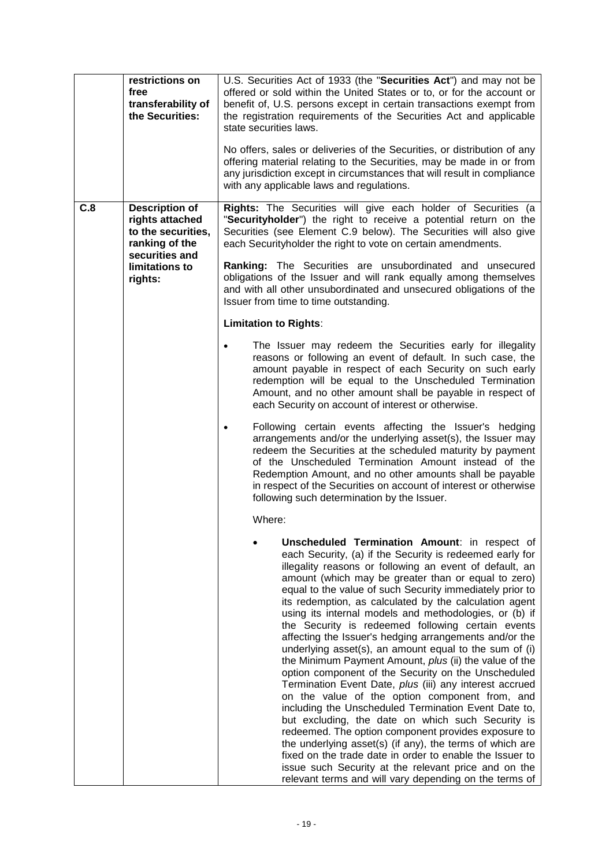|     | restrictions on<br>free<br>transferability of<br>the Securities:                                                                | U.S. Securities Act of 1933 (the "Securities Act") and may not be<br>offered or sold within the United States or to, or for the account or<br>benefit of, U.S. persons except in certain transactions exempt from<br>the registration requirements of the Securities Act and applicable<br>state securities laws.<br>No offers, sales or deliveries of the Securities, or distribution of any<br>offering material relating to the Securities, may be made in or from<br>any jurisdiction except in circumstances that will result in compliance<br>with any applicable laws and regulations.                                                                                                                                                                                                                                                                                                                                                                                                                                                                                                                                                                                                                                              |
|-----|---------------------------------------------------------------------------------------------------------------------------------|--------------------------------------------------------------------------------------------------------------------------------------------------------------------------------------------------------------------------------------------------------------------------------------------------------------------------------------------------------------------------------------------------------------------------------------------------------------------------------------------------------------------------------------------------------------------------------------------------------------------------------------------------------------------------------------------------------------------------------------------------------------------------------------------------------------------------------------------------------------------------------------------------------------------------------------------------------------------------------------------------------------------------------------------------------------------------------------------------------------------------------------------------------------------------------------------------------------------------------------------|
| C.8 | <b>Description of</b><br>rights attached<br>to the securities,<br>ranking of the<br>securities and<br>limitations to<br>rights: | Rights: The Securities will give each holder of Securities (a<br>"Securityholder") the right to receive a potential return on the<br>Securities (see Element C.9 below). The Securities will also give<br>each Securityholder the right to vote on certain amendments.<br>Ranking: The Securities are unsubordinated and unsecured<br>obligations of the Issuer and will rank equally among themselves<br>and with all other unsubordinated and unsecured obligations of the<br>Issuer from time to time outstanding.<br><b>Limitation to Rights:</b><br>The Issuer may redeem the Securities early for illegality<br>reasons or following an event of default. In such case, the                                                                                                                                                                                                                                                                                                                                                                                                                                                                                                                                                          |
|     |                                                                                                                                 | amount payable in respect of each Security on such early<br>redemption will be equal to the Unscheduled Termination<br>Amount, and no other amount shall be payable in respect of<br>each Security on account of interest or otherwise.<br>Following certain events affecting the Issuer's hedging<br>arrangements and/or the underlying asset(s), the Issuer may<br>redeem the Securities at the scheduled maturity by payment<br>of the Unscheduled Termination Amount instead of the<br>Redemption Amount, and no other amounts shall be payable<br>in respect of the Securities on account of interest or otherwise<br>following such determination by the Issuer.                                                                                                                                                                                                                                                                                                                                                                                                                                                                                                                                                                     |
|     |                                                                                                                                 | Where:<br>Unscheduled Termination Amount: in respect of<br>each Security, (a) if the Security is redeemed early for<br>illegality reasons or following an event of default, an<br>amount (which may be greater than or equal to zero)<br>equal to the value of such Security immediately prior to<br>its redemption, as calculated by the calculation agent<br>using its internal models and methodologies, or (b) if<br>the Security is redeemed following certain events<br>affecting the Issuer's hedging arrangements and/or the<br>underlying asset(s), an amount equal to the sum of (i)<br>the Minimum Payment Amount, plus (ii) the value of the<br>option component of the Security on the Unscheduled<br>Termination Event Date, plus (iii) any interest accrued<br>on the value of the option component from, and<br>including the Unscheduled Termination Event Date to,<br>but excluding, the date on which such Security is<br>redeemed. The option component provides exposure to<br>the underlying asset(s) (if any), the terms of which are<br>fixed on the trade date in order to enable the Issuer to<br>issue such Security at the relevant price and on the<br>relevant terms and will vary depending on the terms of |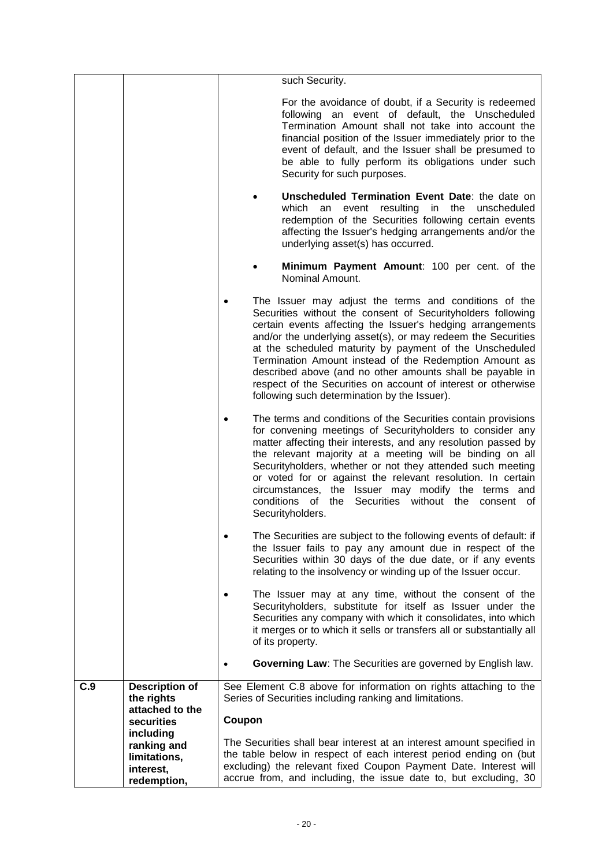|     |                                                                      | such Security.                                                                                                                                                                                                                                                                                                                                                                                                                                                                                                                                        |
|-----|----------------------------------------------------------------------|-------------------------------------------------------------------------------------------------------------------------------------------------------------------------------------------------------------------------------------------------------------------------------------------------------------------------------------------------------------------------------------------------------------------------------------------------------------------------------------------------------------------------------------------------------|
|     |                                                                      | For the avoidance of doubt, if a Security is redeemed<br>following an event of default, the Unscheduled<br>Termination Amount shall not take into account the<br>financial position of the Issuer immediately prior to the<br>event of default, and the Issuer shall be presumed to<br>be able to fully perform its obligations under such<br>Security for such purposes.                                                                                                                                                                             |
|     |                                                                      | Unscheduled Termination Event Date: the date on<br>resulting<br>which<br>event<br>in<br>the<br>unscheduled<br>an<br>redemption of the Securities following certain events<br>affecting the Issuer's hedging arrangements and/or the<br>underlying asset(s) has occurred.                                                                                                                                                                                                                                                                              |
|     |                                                                      | Minimum Payment Amount: 100 per cent. of the<br>Nominal Amount.                                                                                                                                                                                                                                                                                                                                                                                                                                                                                       |
|     |                                                                      | The Issuer may adjust the terms and conditions of the<br>Securities without the consent of Securityholders following<br>certain events affecting the Issuer's hedging arrangements<br>and/or the underlying asset(s), or may redeem the Securities<br>at the scheduled maturity by payment of the Unscheduled<br>Termination Amount instead of the Redemption Amount as<br>described above (and no other amounts shall be payable in<br>respect of the Securities on account of interest or otherwise<br>following such determination by the Issuer). |
|     |                                                                      | The terms and conditions of the Securities contain provisions<br>for convening meetings of Securityholders to consider any<br>matter affecting their interests, and any resolution passed by<br>the relevant majority at a meeting will be binding on all<br>Securityholders, whether or not they attended such meeting<br>or voted for or against the relevant resolution. In certain<br>circumstances, the Issuer may modify the terms and<br>conditions of the Securities without the consent of<br>Securityholders.                               |
|     |                                                                      | The Securities are subject to the following events of default: if<br>the Issuer fails to pay any amount due in respect of the<br>Securities within 30 days of the due date, or if any events<br>relating to the insolvency or winding up of the Issuer occur.                                                                                                                                                                                                                                                                                         |
|     |                                                                      | The Issuer may at any time, without the consent of the<br>Securityholders, substitute for itself as Issuer under the<br>Securities any company with which it consolidates, into which<br>it merges or to which it sells or transfers all or substantially all<br>of its property.                                                                                                                                                                                                                                                                     |
|     |                                                                      | <b>Governing Law:</b> The Securities are governed by English law.                                                                                                                                                                                                                                                                                                                                                                                                                                                                                     |
| C.9 | <b>Description of</b><br>the rights<br>attached to the<br>securities | See Element C.8 above for information on rights attaching to the<br>Series of Securities including ranking and limitations.<br>Coupon                                                                                                                                                                                                                                                                                                                                                                                                                 |
|     | including<br>ranking and<br>limitations,<br>interest,<br>redemption, | The Securities shall bear interest at an interest amount specified in<br>the table below in respect of each interest period ending on (but<br>excluding) the relevant fixed Coupon Payment Date. Interest will<br>accrue from, and including, the issue date to, but excluding, 30                                                                                                                                                                                                                                                                    |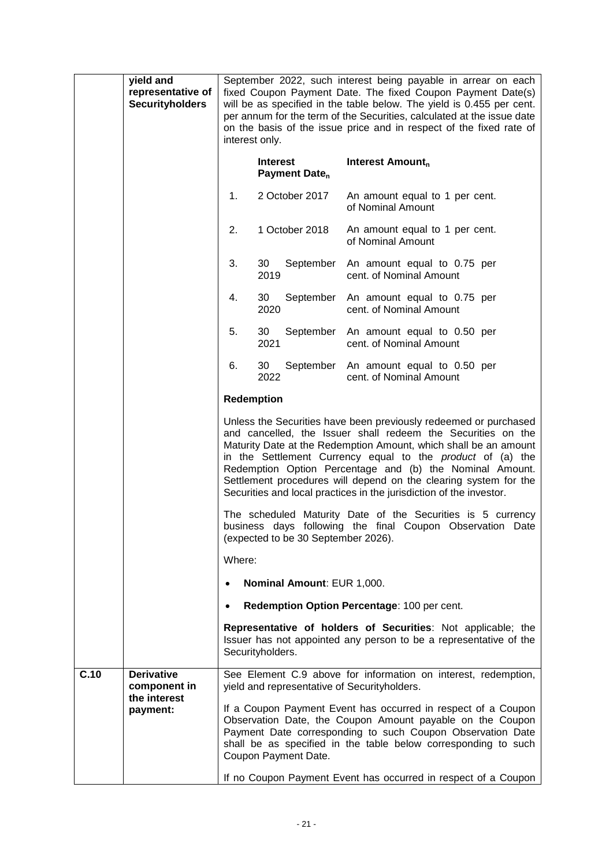|                                                  | yield and<br>representative of<br><b>Securityholders</b> | September 2022, such interest being payable in arrear on each<br>fixed Coupon Payment Date. The fixed Coupon Payment Date(s)<br>will be as specified in the table below. The yield is 0.455 per cent.<br>per annum for the term of the Securities, calculated at the issue date<br>on the basis of the issue price and in respect of the fixed rate of<br>interest only.                                                                                                         |                                              |                                                                                                                                                                                                                                                                                                                              |  |
|--------------------------------------------------|----------------------------------------------------------|----------------------------------------------------------------------------------------------------------------------------------------------------------------------------------------------------------------------------------------------------------------------------------------------------------------------------------------------------------------------------------------------------------------------------------------------------------------------------------|----------------------------------------------|------------------------------------------------------------------------------------------------------------------------------------------------------------------------------------------------------------------------------------------------------------------------------------------------------------------------------|--|
|                                                  |                                                          |                                                                                                                                                                                                                                                                                                                                                                                                                                                                                  | <b>Interest</b><br>Payment Date <sub>n</sub> | Interest Amount <sub>n</sub>                                                                                                                                                                                                                                                                                                 |  |
|                                                  |                                                          | 1.                                                                                                                                                                                                                                                                                                                                                                                                                                                                               | 2 October 2017                               | An amount equal to 1 per cent.<br>of Nominal Amount                                                                                                                                                                                                                                                                          |  |
|                                                  |                                                          | 2.                                                                                                                                                                                                                                                                                                                                                                                                                                                                               | 1 October 2018                               | An amount equal to 1 per cent.<br>of Nominal Amount                                                                                                                                                                                                                                                                          |  |
|                                                  |                                                          | 3.                                                                                                                                                                                                                                                                                                                                                                                                                                                                               | 30<br>September<br>2019                      | An amount equal to 0.75 per<br>cent. of Nominal Amount                                                                                                                                                                                                                                                                       |  |
|                                                  |                                                          | 4.                                                                                                                                                                                                                                                                                                                                                                                                                                                                               | 30<br>September<br>2020                      | An amount equal to 0.75 per<br>cent. of Nominal Amount                                                                                                                                                                                                                                                                       |  |
|                                                  |                                                          | 5.                                                                                                                                                                                                                                                                                                                                                                                                                                                                               | 30<br>2021                                   | September An amount equal to 0.50 per<br>cent. of Nominal Amount                                                                                                                                                                                                                                                             |  |
|                                                  |                                                          | 6.                                                                                                                                                                                                                                                                                                                                                                                                                                                                               | 30<br>September<br>2022                      | An amount equal to 0.50 per<br>cent. of Nominal Amount                                                                                                                                                                                                                                                                       |  |
|                                                  |                                                          | <b>Redemption</b>                                                                                                                                                                                                                                                                                                                                                                                                                                                                |                                              |                                                                                                                                                                                                                                                                                                                              |  |
|                                                  |                                                          | Unless the Securities have been previously redeemed or purchased<br>and cancelled, the Issuer shall redeem the Securities on the<br>Maturity Date at the Redemption Amount, which shall be an amount<br>in the Settlement Currency equal to the <i>product</i> of (a) the<br>Redemption Option Percentage and (b) the Nominal Amount.<br>Settlement procedures will depend on the clearing system for the<br>Securities and local practices in the jurisdiction of the investor. |                                              |                                                                                                                                                                                                                                                                                                                              |  |
|                                                  |                                                          | The scheduled Maturity Date of the Securities is 5 currency<br>business days following the final Coupon Observation Date<br>(expected to be 30 September 2026).                                                                                                                                                                                                                                                                                                                  |                                              |                                                                                                                                                                                                                                                                                                                              |  |
|                                                  |                                                          | Where:                                                                                                                                                                                                                                                                                                                                                                                                                                                                           |                                              |                                                                                                                                                                                                                                                                                                                              |  |
|                                                  |                                                          |                                                                                                                                                                                                                                                                                                                                                                                                                                                                                  | Nominal Amount: EUR 1,000.                   |                                                                                                                                                                                                                                                                                                                              |  |
|                                                  |                                                          | $\bullet$                                                                                                                                                                                                                                                                                                                                                                                                                                                                        |                                              | Redemption Option Percentage: 100 per cent.                                                                                                                                                                                                                                                                                  |  |
|                                                  |                                                          |                                                                                                                                                                                                                                                                                                                                                                                                                                                                                  | Securityholders.                             | Representative of holders of Securities: Not applicable; the<br>Issuer has not appointed any person to be a representative of the                                                                                                                                                                                            |  |
| C.10                                             | <b>Derivative</b><br>component in                        |                                                                                                                                                                                                                                                                                                                                                                                                                                                                                  | yield and representative of Securityholders. | See Element C.9 above for information on interest, redemption,                                                                                                                                                                                                                                                               |  |
| the interest<br>payment:<br>Coupon Payment Date. |                                                          |                                                                                                                                                                                                                                                                                                                                                                                                                                                                                  |                                              | If a Coupon Payment Event has occurred in respect of a Coupon<br>Observation Date, the Coupon Amount payable on the Coupon<br>Payment Date corresponding to such Coupon Observation Date<br>shall be as specified in the table below corresponding to such<br>If no Coupon Payment Event has occurred in respect of a Coupon |  |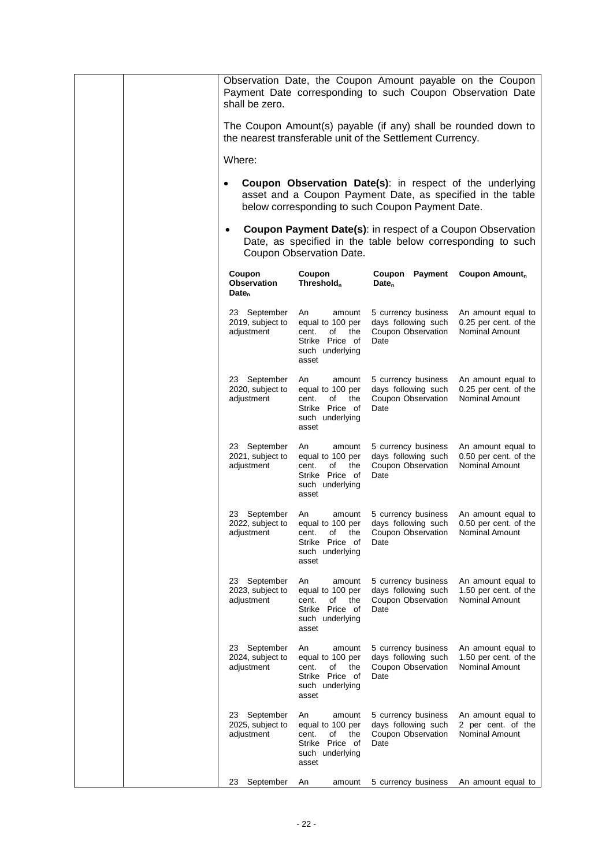|           | shall be zero.                                                                                                                                                                                           |                                                                                                       | Observation Date, the Coupon Amount payable on the Coupon<br>Payment Date corresponding to such Coupon Observation Date          |                                                                      |  |  |
|-----------|----------------------------------------------------------------------------------------------------------------------------------------------------------------------------------------------------------|-------------------------------------------------------------------------------------------------------|----------------------------------------------------------------------------------------------------------------------------------|----------------------------------------------------------------------|--|--|
|           |                                                                                                                                                                                                          |                                                                                                       | The Coupon Amount(s) payable (if any) shall be rounded down to<br>the nearest transferable unit of the Settlement Currency.      |                                                                      |  |  |
|           | Where:<br><b>Coupon Observation Date(s):</b> in respect of the underlying<br>$\bullet$<br>asset and a Coupon Payment Date, as specified in the table<br>below corresponding to such Coupon Payment Date. |                                                                                                       |                                                                                                                                  |                                                                      |  |  |
|           |                                                                                                                                                                                                          |                                                                                                       |                                                                                                                                  |                                                                      |  |  |
| $\bullet$ |                                                                                                                                                                                                          | Coupon Observation Date.                                                                              | <b>Coupon Payment Date(s):</b> in respect of a Coupon Observation<br>Date, as specified in the table below corresponding to such |                                                                      |  |  |
|           | Coupon<br>Observation<br>Date <sub>n</sub>                                                                                                                                                               | Coupon<br>Threshold <sub>n</sub>                                                                      | Coupon<br>Payment<br>$Date_n$                                                                                                    | Coupon Amount <sub>n</sub>                                           |  |  |
|           | 23 September<br>2019, subject to<br>adjustment                                                                                                                                                           | An<br>amount<br>equal to 100 per<br>cent.<br>the<br>of<br>Strike Price of<br>such underlying<br>asset | 5 currency business<br>days following such<br>Coupon Observation<br>Date                                                         | An amount equal to<br>0.25 per cent. of the<br>Nominal Amount        |  |  |
|           | 23 September<br>2020, subject to<br>adjustment                                                                                                                                                           | An<br>amount<br>equal to 100 per<br>cent.<br>of<br>the<br>Strike Price of<br>such underlying<br>asset | 5 currency business<br>days following such<br>Coupon Observation<br>Date                                                         | An amount equal to<br>0.25 per cent. of the<br><b>Nominal Amount</b> |  |  |
|           | 23 September<br>2021, subject to<br>adjustment                                                                                                                                                           | An<br>amount<br>equal to 100 per<br>the<br>cent.<br>of<br>Strike Price of<br>such underlying<br>asset | 5 currency business<br>days following such<br>Coupon Observation<br>Date                                                         | An amount equal to<br>0.50 per cent. of the<br>Nominal Amount        |  |  |
|           | 23 September<br>2022, subject to<br>adjustment                                                                                                                                                           | An<br>amount<br>equal to 100 per<br>of<br>cent.<br>τne<br>Strike Price of<br>such underlying<br>asset | 5 currency business<br>days following such<br>Coupon Observation Nominal Amount<br>Date                                          | An amount equal to<br>0.50 per cent. of the                          |  |  |
|           | 23 September<br>2023, subject to<br>adjustment                                                                                                                                                           | An<br>amount<br>equal to 100 per<br>cent.<br>of<br>the<br>Strike Price of<br>such underlying<br>asset | 5 currency business<br>days following such<br>Coupon Observation<br>Date                                                         | An amount equal to<br>1.50 per cent. of the<br>Nominal Amount        |  |  |
|           | 23<br>September<br>2024, subject to<br>adjustment                                                                                                                                                        | An<br>amount<br>equal to 100 per<br>of<br>the<br>cent.<br>Strike Price of<br>such underlying<br>asset | 5 currency business<br>days following such<br>Coupon Observation<br>Date                                                         | An amount equal to<br>1.50 per cent. of the<br>Nominal Amount        |  |  |
|           | 23 September<br>2025, subject to<br>adjustment                                                                                                                                                           | An<br>amount<br>equal to 100 per<br>cent.<br>the<br>οf<br>Strike Price of<br>such underlying<br>asset | 5 currency business<br>days following such<br>Coupon Observation<br>Date                                                         | An amount equal to<br>2 per cent. of the<br>Nominal Amount           |  |  |
|           | September<br>23                                                                                                                                                                                          | An<br>amount                                                                                          | 5 currency business                                                                                                              | An amount equal to                                                   |  |  |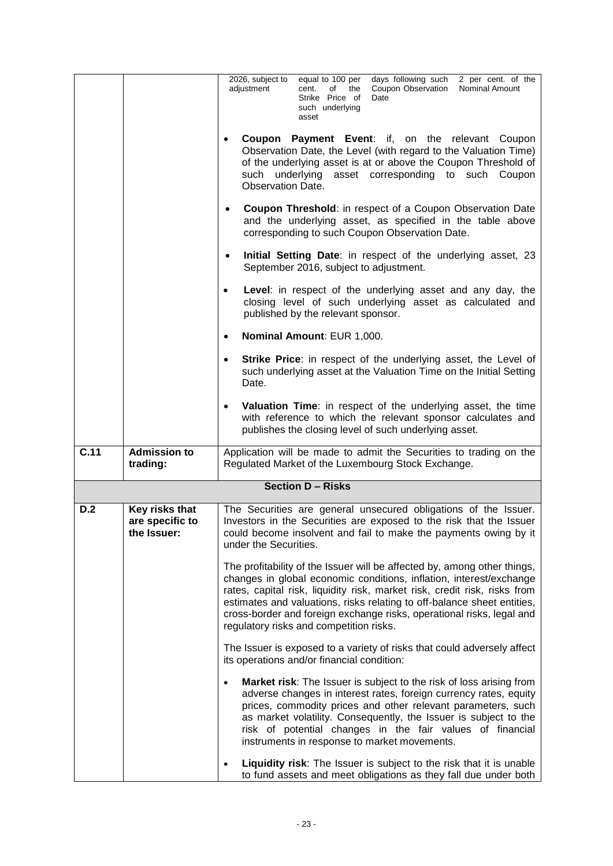|      |                                                  | 2026, subject to<br>days following such<br>equal to 100 per<br>2 per cent. of the<br>Coupon Observation<br>Nominal Amount<br>adjustment<br>cent.<br>of<br>the<br>Strike Price of<br>Date<br>such underlying<br>asset                                                                                                                                                                                                        |  |  |  |  |
|------|--------------------------------------------------|-----------------------------------------------------------------------------------------------------------------------------------------------------------------------------------------------------------------------------------------------------------------------------------------------------------------------------------------------------------------------------------------------------------------------------|--|--|--|--|
|      |                                                  | Coupon Payment Event: if, on the relevant Coupon<br>Observation Date, the Level (with regard to the Valuation Time)<br>of the underlying asset is at or above the Coupon Threshold of<br>such underlying asset corresponding to such Coupon<br>Observation Date.                                                                                                                                                            |  |  |  |  |
|      |                                                  | <b>Coupon Threshold:</b> in respect of a Coupon Observation Date<br>$\bullet$<br>and the underlying asset, as specified in the table above<br>corresponding to such Coupon Observation Date.                                                                                                                                                                                                                                |  |  |  |  |
|      |                                                  | Initial Setting Date: in respect of the underlying asset, 23<br>$\bullet$<br>September 2016, subject to adjustment.                                                                                                                                                                                                                                                                                                         |  |  |  |  |
|      |                                                  | Level: in respect of the underlying asset and any day, the<br>closing level of such underlying asset as calculated and<br>published by the relevant sponsor.                                                                                                                                                                                                                                                                |  |  |  |  |
|      |                                                  | Nominal Amount: EUR 1,000.<br>٠                                                                                                                                                                                                                                                                                                                                                                                             |  |  |  |  |
|      |                                                  | <b>Strike Price:</b> in respect of the underlying asset, the Level of<br>$\bullet$<br>such underlying asset at the Valuation Time on the Initial Setting<br>Date.                                                                                                                                                                                                                                                           |  |  |  |  |
|      |                                                  | Valuation Time: in respect of the underlying asset, the time<br>$\bullet$<br>with reference to which the relevant sponsor calculates and<br>publishes the closing level of such underlying asset.                                                                                                                                                                                                                           |  |  |  |  |
| C.11 | <b>Admission to</b><br>trading:                  | Application will be made to admit the Securities to trading on the<br>Regulated Market of the Luxembourg Stock Exchange.                                                                                                                                                                                                                                                                                                    |  |  |  |  |
|      |                                                  | <b>Section D - Risks</b>                                                                                                                                                                                                                                                                                                                                                                                                    |  |  |  |  |
| D.2  | Key risks that<br>are specific to<br>the Issuer: | The Securities are general unsecured obligations of the Issuer.<br>Investors in the Securities are exposed to the risk that the Issuer<br>could become insolvent and fail to make the payments owing by it<br>under the Securities.                                                                                                                                                                                         |  |  |  |  |
|      |                                                  | The profitability of the Issuer will be affected by, among other things,<br>changes in global economic conditions, inflation, interest/exchange<br>rates, capital risk, liquidity risk, market risk, credit risk, risks from<br>estimates and valuations, risks relating to off-balance sheet entities,<br>cross-border and foreign exchange risks, operational risks, legal and<br>regulatory risks and competition risks. |  |  |  |  |
|      |                                                  | The Issuer is exposed to a variety of risks that could adversely affect<br>its operations and/or financial condition:                                                                                                                                                                                                                                                                                                       |  |  |  |  |
|      |                                                  | Market risk: The Issuer is subject to the risk of loss arising from<br>$\bullet$<br>adverse changes in interest rates, foreign currency rates, equity<br>prices, commodity prices and other relevant parameters, such<br>as market volatility. Consequently, the Issuer is subject to the<br>risk of potential changes in the fair values of financial<br>instruments in response to market movements.                      |  |  |  |  |
|      |                                                  | Liquidity risk: The Issuer is subject to the risk that it is unable<br>٠<br>to fund assets and meet obligations as they fall due under both                                                                                                                                                                                                                                                                                 |  |  |  |  |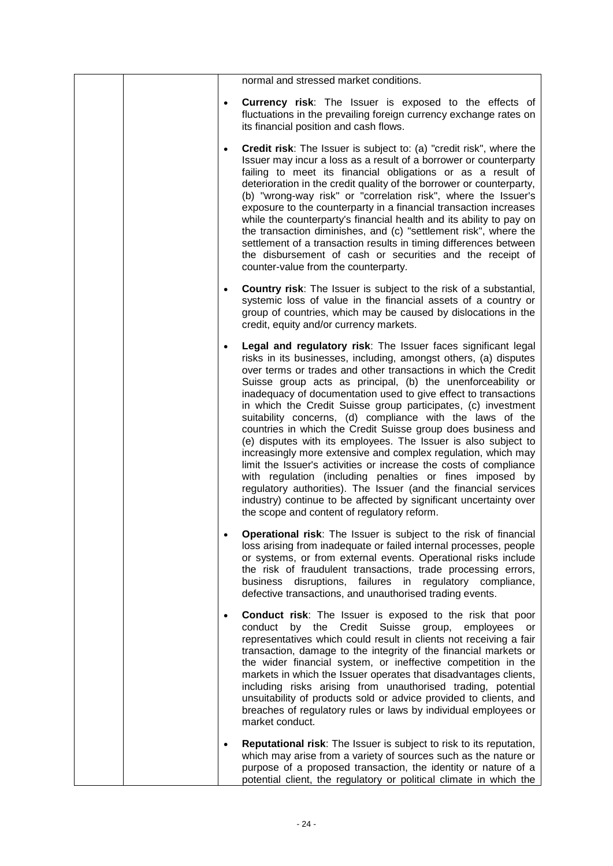|           | normal and stressed market conditions.                                                                                                                                                                                                                                                                                                                                                                                                                                                                                                                                                                                                                                                                                                                                                                                                                                                                                                                                                          |
|-----------|-------------------------------------------------------------------------------------------------------------------------------------------------------------------------------------------------------------------------------------------------------------------------------------------------------------------------------------------------------------------------------------------------------------------------------------------------------------------------------------------------------------------------------------------------------------------------------------------------------------------------------------------------------------------------------------------------------------------------------------------------------------------------------------------------------------------------------------------------------------------------------------------------------------------------------------------------------------------------------------------------|
|           | <b>Currency risk:</b> The Issuer is exposed to the effects of<br>fluctuations in the prevailing foreign currency exchange rates on<br>its financial position and cash flows.                                                                                                                                                                                                                                                                                                                                                                                                                                                                                                                                                                                                                                                                                                                                                                                                                    |
| $\bullet$ | <b>Credit risk:</b> The Issuer is subject to: (a) "credit risk", where the<br>Issuer may incur a loss as a result of a borrower or counterparty<br>failing to meet its financial obligations or as a result of<br>deterioration in the credit quality of the borrower or counterparty,<br>(b) "wrong-way risk" or "correlation risk", where the Issuer's<br>exposure to the counterparty in a financial transaction increases<br>while the counterparty's financial health and its ability to pay on<br>the transaction diminishes, and (c) "settlement risk", where the<br>settlement of a transaction results in timing differences between<br>the disbursement of cash or securities and the receipt of<br>counter-value from the counterparty.                                                                                                                                                                                                                                              |
|           | Country risk: The Issuer is subject to the risk of a substantial,<br>systemic loss of value in the financial assets of a country or<br>group of countries, which may be caused by dislocations in the<br>credit, equity and/or currency markets.                                                                                                                                                                                                                                                                                                                                                                                                                                                                                                                                                                                                                                                                                                                                                |
| $\bullet$ | Legal and regulatory risk: The Issuer faces significant legal<br>risks in its businesses, including, amongst others, (a) disputes<br>over terms or trades and other transactions in which the Credit<br>Suisse group acts as principal, (b) the unenforceability or<br>inadequacy of documentation used to give effect to transactions<br>in which the Credit Suisse group participates, (c) investment<br>suitability concerns, (d) compliance with the laws of the<br>countries in which the Credit Suisse group does business and<br>(e) disputes with its employees. The Issuer is also subject to<br>increasingly more extensive and complex regulation, which may<br>limit the Issuer's activities or increase the costs of compliance<br>with regulation (including penalties or fines imposed by<br>regulatory authorities). The Issuer (and the financial services<br>industry) continue to be affected by significant uncertainty over<br>the scope and content of regulatory reform. |
|           | Operational risk: The Issuer is subject to the risk of financial<br>loss arising from inadequate or failed internal processes, people<br>or systems, or from external events. Operational risks include<br>the risk of fraudulent transactions, trade processing errors,<br>business disruptions, failures in regulatory compliance,<br>defective transactions, and unauthorised trading events.                                                                                                                                                                                                                                                                                                                                                                                                                                                                                                                                                                                                |
| $\bullet$ | <b>Conduct risk:</b> The Issuer is exposed to the risk that poor<br>by the Credit Suisse group, employees<br>conduct<br>or<br>representatives which could result in clients not receiving a fair<br>transaction, damage to the integrity of the financial markets or<br>the wider financial system, or ineffective competition in the<br>markets in which the Issuer operates that disadvantages clients,<br>including risks arising from unauthorised trading, potential<br>unsuitability of products sold or advice provided to clients, and<br>breaches of regulatory rules or laws by individual employees or<br>market conduct.                                                                                                                                                                                                                                                                                                                                                            |
|           | <b>Reputational risk:</b> The Issuer is subject to risk to its reputation,<br>which may arise from a variety of sources such as the nature or<br>purpose of a proposed transaction, the identity or nature of a<br>potential client, the regulatory or political climate in which the                                                                                                                                                                                                                                                                                                                                                                                                                                                                                                                                                                                                                                                                                                           |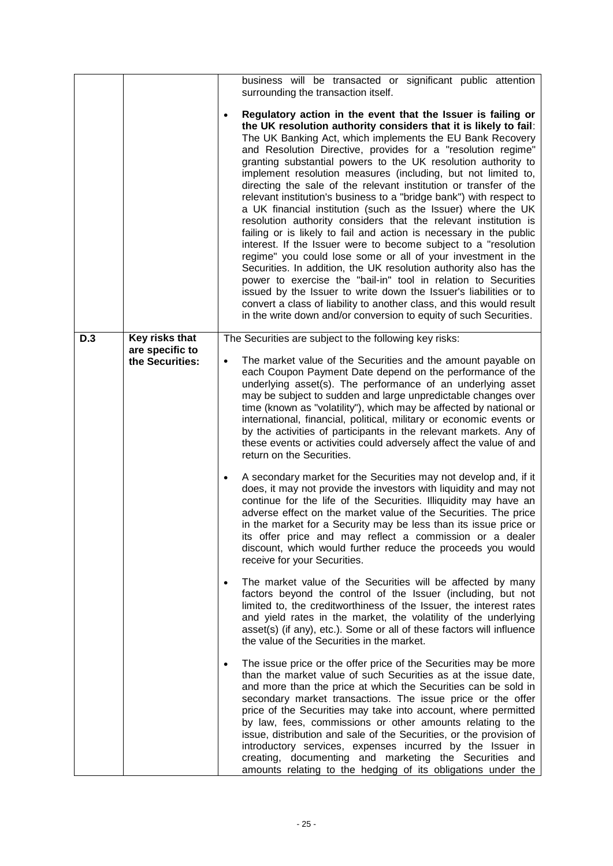|     |                                   | business will be transacted or significant public attention<br>surrounding the transaction itself.                                                                                                                                                                                                                                                                                                                                                                                                                                                                                                                                                                                                                                                                                                                                                                                                                                                                                                                                                                                                                                                                                                                                               |
|-----|-----------------------------------|--------------------------------------------------------------------------------------------------------------------------------------------------------------------------------------------------------------------------------------------------------------------------------------------------------------------------------------------------------------------------------------------------------------------------------------------------------------------------------------------------------------------------------------------------------------------------------------------------------------------------------------------------------------------------------------------------------------------------------------------------------------------------------------------------------------------------------------------------------------------------------------------------------------------------------------------------------------------------------------------------------------------------------------------------------------------------------------------------------------------------------------------------------------------------------------------------------------------------------------------------|
|     |                                   | Regulatory action in the event that the Issuer is failing or<br>the UK resolution authority considers that it is likely to fail:<br>The UK Banking Act, which implements the EU Bank Recovery<br>and Resolution Directive, provides for a "resolution regime"<br>granting substantial powers to the UK resolution authority to<br>implement resolution measures (including, but not limited to,<br>directing the sale of the relevant institution or transfer of the<br>relevant institution's business to a "bridge bank") with respect to<br>a UK financial institution (such as the Issuer) where the UK<br>resolution authority considers that the relevant institution is<br>failing or is likely to fail and action is necessary in the public<br>interest. If the Issuer were to become subject to a "resolution<br>regime" you could lose some or all of your investment in the<br>Securities. In addition, the UK resolution authority also has the<br>power to exercise the "bail-in" tool in relation to Securities<br>issued by the Issuer to write down the Issuer's liabilities or to<br>convert a class of liability to another class, and this would result<br>in the write down and/or conversion to equity of such Securities. |
| D.3 | Key risks that<br>are specific to | The Securities are subject to the following key risks:                                                                                                                                                                                                                                                                                                                                                                                                                                                                                                                                                                                                                                                                                                                                                                                                                                                                                                                                                                                                                                                                                                                                                                                           |
|     | the Securities:                   | The market value of the Securities and the amount payable on<br>each Coupon Payment Date depend on the performance of the<br>underlying asset(s). The performance of an underlying asset<br>may be subject to sudden and large unpredictable changes over<br>time (known as "volatility"), which may be affected by national or<br>international, financial, political, military or economic events or<br>by the activities of participants in the relevant markets. Any of<br>these events or activities could adversely affect the value of and<br>return on the Securities.                                                                                                                                                                                                                                                                                                                                                                                                                                                                                                                                                                                                                                                                   |
|     |                                   | A secondary market for the Securities may not develop and, if it<br>does, it may not provide the investors with liquidity and may not<br>continue for the life of the Securities. Illiquidity may have an<br>adverse effect on the market value of the Securities. The price<br>in the market for a Security may be less than its issue price or<br>its offer price and may reflect a commission or a dealer<br>discount, which would further reduce the proceeds you would<br>receive for your Securities.                                                                                                                                                                                                                                                                                                                                                                                                                                                                                                                                                                                                                                                                                                                                      |
|     |                                   | The market value of the Securities will be affected by many<br>factors beyond the control of the Issuer (including, but not<br>limited to, the creditworthiness of the Issuer, the interest rates<br>and yield rates in the market, the volatility of the underlying<br>asset(s) (if any), etc.). Some or all of these factors will influence<br>the value of the Securities in the market.                                                                                                                                                                                                                                                                                                                                                                                                                                                                                                                                                                                                                                                                                                                                                                                                                                                      |
|     |                                   | The issue price or the offer price of the Securities may be more<br>than the market value of such Securities as at the issue date,<br>and more than the price at which the Securities can be sold in<br>secondary market transactions. The issue price or the offer<br>price of the Securities may take into account, where permitted<br>by law, fees, commissions or other amounts relating to the<br>issue, distribution and sale of the Securities, or the provision of<br>introductory services, expenses incurred by the Issuer in<br>creating, documenting and marketing the Securities and<br>amounts relating to the hedging of its obligations under the                                                                                                                                                                                                                                                                                                                                                                                                                                                                                                                                                                                |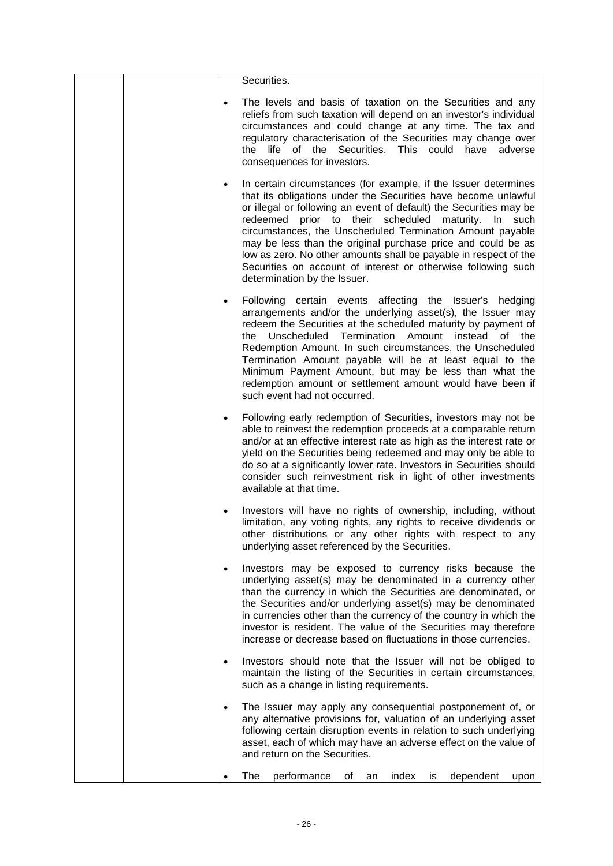|           | Securities.                                                                                                                                                                                                                                                                                                                                                                                                                                                                                                                                                      |
|-----------|------------------------------------------------------------------------------------------------------------------------------------------------------------------------------------------------------------------------------------------------------------------------------------------------------------------------------------------------------------------------------------------------------------------------------------------------------------------------------------------------------------------------------------------------------------------|
| ٠         | The levels and basis of taxation on the Securities and any<br>reliefs from such taxation will depend on an investor's individual<br>circumstances and could change at any time. The tax and<br>regulatory characterisation of the Securities may change over<br>the life of the Securities. This could have<br>adverse<br>consequences for investors.                                                                                                                                                                                                            |
| $\bullet$ | In certain circumstances (for example, if the Issuer determines<br>that its obligations under the Securities have become unlawful<br>or illegal or following an event of default) the Securities may be<br>redeemed prior to their scheduled maturity. In such<br>circumstances, the Unscheduled Termination Amount payable<br>may be less than the original purchase price and could be as<br>low as zero. No other amounts shall be payable in respect of the<br>Securities on account of interest or otherwise following such<br>determination by the Issuer. |
| $\bullet$ | Following certain events affecting the Issuer's hedging<br>arrangements and/or the underlying asset(s), the Issuer may<br>redeem the Securities at the scheduled maturity by payment of<br>the Unscheduled Termination Amount instead of<br>the<br>Redemption Amount. In such circumstances, the Unscheduled<br>Termination Amount payable will be at least equal to the<br>Minimum Payment Amount, but may be less than what the<br>redemption amount or settlement amount would have been if<br>such event had not occurred.                                   |
|           | Following early redemption of Securities, investors may not be<br>able to reinvest the redemption proceeds at a comparable return<br>and/or at an effective interest rate as high as the interest rate or<br>yield on the Securities being redeemed and may only be able to<br>do so at a significantly lower rate. Investors in Securities should<br>consider such reinvestment risk in light of other investments<br>available at that time.                                                                                                                   |
|           | Investors will have no rights of ownership, including, without<br>limitation, any voting rights, any rights to receive dividends or<br>other distributions or any other rights with respect to any<br>underlying asset referenced by the Securities.                                                                                                                                                                                                                                                                                                             |
| $\bullet$ | Investors may be exposed to currency risks because the<br>underlying asset(s) may be denominated in a currency other<br>than the currency in which the Securities are denominated, or<br>the Securities and/or underlying asset(s) may be denominated<br>in currencies other than the currency of the country in which the<br>investor is resident. The value of the Securities may therefore<br>increase or decrease based on fluctuations in those currencies.                                                                                                 |
| $\bullet$ | Investors should note that the Issuer will not be obliged to<br>maintain the listing of the Securities in certain circumstances,<br>such as a change in listing requirements.                                                                                                                                                                                                                                                                                                                                                                                    |
|           | The Issuer may apply any consequential postponement of, or<br>any alternative provisions for, valuation of an underlying asset<br>following certain disruption events in relation to such underlying<br>asset, each of which may have an adverse effect on the value of<br>and return on the Securities.                                                                                                                                                                                                                                                         |
|           | The<br>performance<br>dependent<br>of<br>index<br>an<br>is<br>upon                                                                                                                                                                                                                                                                                                                                                                                                                                                                                               |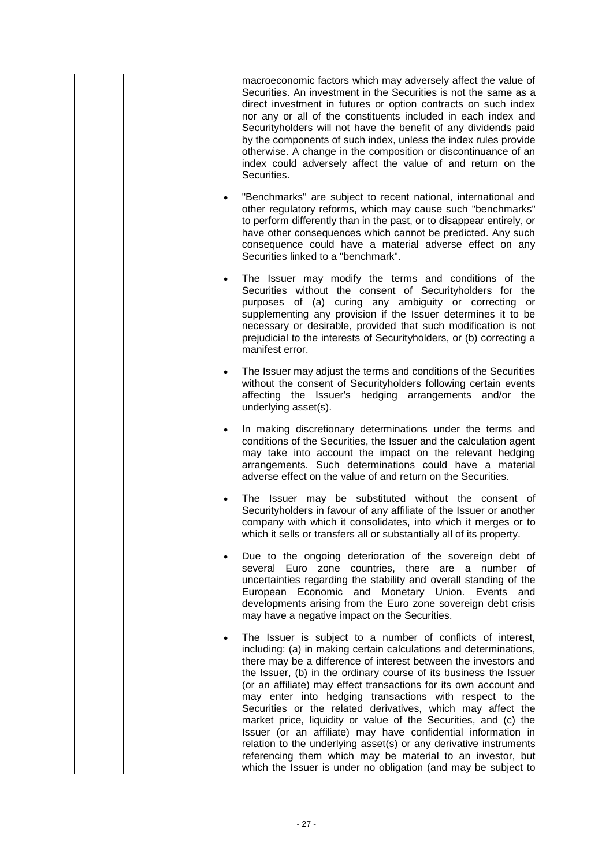|           | macroeconomic factors which may adversely affect the value of<br>Securities. An investment in the Securities is not the same as a<br>direct investment in futures or option contracts on such index<br>nor any or all of the constituents included in each index and<br>Securityholders will not have the benefit of any dividends paid<br>by the components of such index, unless the index rules provide<br>otherwise. A change in the composition or discontinuance of an<br>index could adversely affect the value of and return on the<br>Securities.                                                                                                                                                                                                                                                       |
|-----------|------------------------------------------------------------------------------------------------------------------------------------------------------------------------------------------------------------------------------------------------------------------------------------------------------------------------------------------------------------------------------------------------------------------------------------------------------------------------------------------------------------------------------------------------------------------------------------------------------------------------------------------------------------------------------------------------------------------------------------------------------------------------------------------------------------------|
| $\bullet$ | "Benchmarks" are subject to recent national, international and<br>other regulatory reforms, which may cause such "benchmarks"<br>to perform differently than in the past, or to disappear entirely, or<br>have other consequences which cannot be predicted. Any such<br>consequence could have a material adverse effect on any<br>Securities linked to a "benchmark".                                                                                                                                                                                                                                                                                                                                                                                                                                          |
| $\bullet$ | The Issuer may modify the terms and conditions of the<br>Securities without the consent of Securityholders for the<br>purposes of (a) curing any ambiguity or correcting or<br>supplementing any provision if the Issuer determines it to be<br>necessary or desirable, provided that such modification is not<br>prejudicial to the interests of Securityholders, or (b) correcting a<br>manifest error.                                                                                                                                                                                                                                                                                                                                                                                                        |
| $\bullet$ | The Issuer may adjust the terms and conditions of the Securities<br>without the consent of Securityholders following certain events<br>affecting the Issuer's hedging arrangements and/or the<br>underlying asset(s).                                                                                                                                                                                                                                                                                                                                                                                                                                                                                                                                                                                            |
| $\bullet$ | In making discretionary determinations under the terms and<br>conditions of the Securities, the Issuer and the calculation agent<br>may take into account the impact on the relevant hedging<br>arrangements. Such determinations could have a material<br>adverse effect on the value of and return on the Securities.                                                                                                                                                                                                                                                                                                                                                                                                                                                                                          |
|           | The Issuer may be substituted without the consent of<br>Securityholders in favour of any affiliate of the Issuer or another<br>company with which it consolidates, into which it merges or to<br>which it sells or transfers all or substantially all of its property.                                                                                                                                                                                                                                                                                                                                                                                                                                                                                                                                           |
|           | Due to the ongoing deterioration of the sovereign debt of<br>several Euro zone countries, there are a number of<br>uncertainties regarding the stability and overall standing of the<br>Economic and Monetary Union. Events and<br>European<br>developments arising from the Euro zone sovereign debt crisis<br>may have a negative impact on the Securities.                                                                                                                                                                                                                                                                                                                                                                                                                                                    |
| $\bullet$ | The Issuer is subject to a number of conflicts of interest,<br>including: (a) in making certain calculations and determinations,<br>there may be a difference of interest between the investors and<br>the Issuer, (b) in the ordinary course of its business the Issuer<br>(or an affiliate) may effect transactions for its own account and<br>may enter into hedging transactions with respect to the<br>Securities or the related derivatives, which may affect the<br>market price, liquidity or value of the Securities, and (c) the<br>Issuer (or an affiliate) may have confidential information in<br>relation to the underlying asset(s) or any derivative instruments<br>referencing them which may be material to an investor, but<br>which the Issuer is under no obligation (and may be subject to |